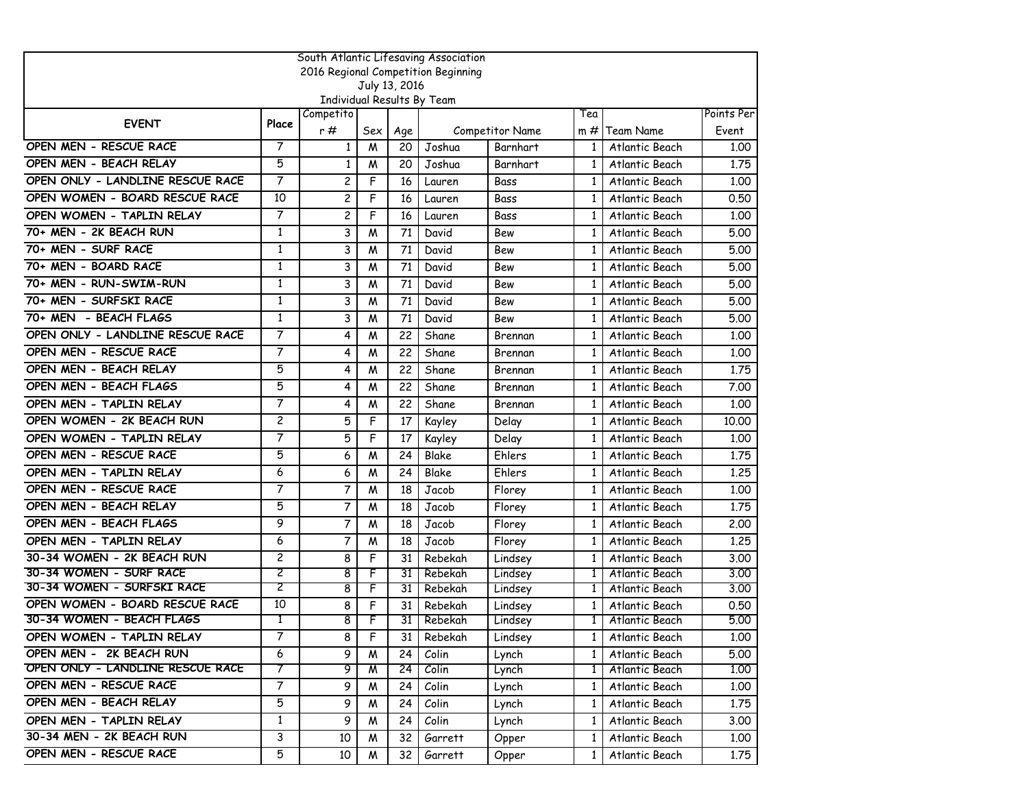| South Atlantic Lifesaving Association |                |                            |     |               |         |                 |              |                  |            |  |  |  |
|---------------------------------------|----------------|----------------------------|-----|---------------|---------|-----------------|--------------|------------------|------------|--|--|--|
| 2016 Regional Competition Beginning   |                |                            |     |               |         |                 |              |                  |            |  |  |  |
|                                       |                |                            |     | July 13, 2016 |         |                 |              |                  |            |  |  |  |
|                                       |                | Individual Results By Team |     |               |         |                 |              |                  |            |  |  |  |
| <b>EVENT</b>                          | Place          | Competito                  |     |               |         |                 | Tea          |                  | Points Per |  |  |  |
|                                       |                | r#                         | Sex | Age           |         | Competitor Name | m #          | <b>Team Name</b> | Event      |  |  |  |
| OPEN MEN - RESCUE RACE                | 7              | $\mathbf{1}$               | M   | 20            | Joshua  | Barnhart        | $\mathbf{1}$ | Atlantic Beach   | 1.00       |  |  |  |
| OPEN MEN - BEACH RELAY                | 5              | $\mathbf{1}$               | M   | 20            | Joshua  | Barnhart        | $\mathbf{1}$ | Atlantic Beach   | 1.75       |  |  |  |
| OPEN ONLY - LANDLINE RESCUE RACE      | 7              | $\overline{c}$             | F   | 16            | Lauren  | Bass            | $\mathbf{1}$ | Atlantic Beach   | 1.00       |  |  |  |
| OPEN WOMEN - BOARD RESCUE RACE        | 10             | $\overline{c}$             | F   | 16            | Lauren  | Bass            | 1            | Atlantic Beach   | 0.50       |  |  |  |
| OPEN WOMEN - TAPLIN RELAY             | 7              | $\overline{c}$             | F   | 16            | Lauren  | Bass            | $\mathbf{1}$ | Atlantic Beach   | 1.00       |  |  |  |
| 70+ MEN - 2K BEACH RUN                | $\mathbf{1}$   | 3                          | M   | 71            | David   | Bew             | $\mathbf{1}$ | Atlantic Beach   | 5.00       |  |  |  |
| 70+ MEN - SURF RACE                   | 1              | 3                          | M   | 71            | David   | Bew             | $\mathbf{1}$ | Atlantic Beach   | 5.00       |  |  |  |
| 70+ MEN - BOARD RACE                  | $\mathbf{1}$   | 3                          | M   | 71            | David   | Bew             | 1            | Atlantic Beach   | 5.00       |  |  |  |
| 70+ MEN - RUN-SWIM-RUN                | 1              | 3                          | M   | 71            | David   | Bew             | 1            | Atlantic Beach   | 5.00       |  |  |  |
| 70+ MEN - SURFSKI RACE                | 1              | 3                          | M   | 71            | David   | Bew             | $\mathbf{1}$ | Atlantic Beach   | 5.00       |  |  |  |
| 70+ MEN - BEACH FLAGS                 | $\mathbf{1}$   | 3                          | M   | 71            | David   | Bew             | $\mathbf{1}$ | Atlantic Beach   | 5.00       |  |  |  |
| OPEN ONLY - LANDLINE RESCUE RACE      | 7              | 4                          | M   | 22            | Shane   | Brennan         | $\mathbf{1}$ | Atlantic Beach   | 1.00       |  |  |  |
| OPEN MEN - RESCUE RACE                | 7              | 4                          | M   | 22            | Shane   | Brennan         | $\mathbf{1}$ | Atlantic Beach   | 1.00       |  |  |  |
| OPEN MEN - BEACH RELAY                | 5              | 4                          | M   | 22            | Shane   | Brennan         | 1            | Atlantic Beach   | 1.75       |  |  |  |
| OPEN MEN - BEACH FLAGS                | 5              | 4                          | M   | 22            | Shane   | Brennan         | $\mathbf{1}$ | Atlantic Beach   | 7.00       |  |  |  |
| OPEN MEN - TAPLIN RELAY               | $\overline{7}$ | 4                          | M   | 22            | Shane   | Brennan         | $\mathbf{1}$ | Atlantic Beach   | 1.00       |  |  |  |
| OPEN WOMEN - 2K BEACH RUN             | $\overline{c}$ | 5                          | F   | 17            | Kayley  | Delay           | $\mathbf{1}$ | Atlantic Beach   | 10.00      |  |  |  |
| OPEN WOMEN - TAPLIN RELAY             | 7              | 5                          | F   | 17            | Kayley  | Delay           | $\mathbf{1}$ | Atlantic Beach   | 1.00       |  |  |  |
| OPEN MEN - RESCUE RACE                | 5              | 6                          | M   | 24            | Blake   | Ehlers          | 1            | Atlantic Beach   | 1.75       |  |  |  |
| OPEN MEN - TAPLIN RELAY               | 6              | 6                          | M   | 24            | Blake   | Ehlers          | $\mathbf{1}$ | Atlantic Beach   | 1.25       |  |  |  |
| OPEN MEN - RESCUE RACE                | 7              | 7                          | M   | 18            | Jacob   | Florey          | $\mathbf{1}$ | Atlantic Beach   | 1.00       |  |  |  |
| OPEN MEN - BEACH RELAY                | 5              | 7                          | M   | 18            | Jacob   | Florey          | $\mathbf{1}$ | Atlantic Beach   | 1.75       |  |  |  |
| OPEN MEN - BEACH FLAGS                | 9              | $\overline{7}$             | M   | 18            | Jacob   | Florey          | $\mathbf{1}$ | Atlantic Beach   | 2,00       |  |  |  |
| OPEN MEN - TAPLIN RELAY               | 6              | 7                          | M   | 18            | Jacob   | Florey          | 1            | Atlantic Beach   | 1,25       |  |  |  |
| 30-34 WOMEN - 2K BEACH RUN            | $\overline{c}$ | 8                          | F   | 31            | Rebekah | Lindsey         | $\mathbf{1}$ | Atlantic Beach   | 3.00       |  |  |  |
| 30-34 WOMEN - SURF RACE               | 2              | 8                          | F   | 31            | Rebekah | Lindsey         | $\mathbf{1}$ | Atlantic Beach   | 3,00       |  |  |  |
| 30-34 WOMEN - SURFSKI RACE            | 2              | 8                          | F   | 31            | Rebekah | Lindsey         | 1            | Atlantic Beach   | 3,00       |  |  |  |
| OPEN WOMEN - BOARD RESCUE RACE        | 10             | 8                          | F   | 31            | Rebekah | Lindsey         | $\mathbf{1}$ | Atlantic Beach   | 0.50       |  |  |  |
| 30-34 WOMEN - BEACH FLAGS             | 1              | 8                          | F   | 31            | Rebekah | Lindsey         | $\mathbf{1}$ | Atlantic Beach   | 5.00       |  |  |  |
| OPEN WOMEN - TAPLIN RELAY             | 7              | 8                          | F   | 31            | Rebekah | Lindsey         | $\mathbf{1}$ | Atlantic Beach   | 1.00       |  |  |  |
| OPEN MEN - 2K BEACH RUN               | 6              | 9                          | M   | 24            | Colin   | Lynch           | $\mathbf{1}$ | Atlantic Beach   | 5.00       |  |  |  |
| OPEN ONLY - LANDLINE RESCUE RACE      | 7              | 9                          | W   | 24            | Colin   | Lynch           | $\mathbf{1}$ | Atlantic Beach   | 1.00       |  |  |  |
| OPEN MEN - RESCUE RACE                | $\overline{7}$ | 9                          | M   | 24            | Colin   | Lynch           | $\mathbf{1}$ | Atlantic Beach   | 1.00       |  |  |  |
| OPEN MEN - BEACH RELAY                | 5              | 9                          | W   | 24            | Colin   | Lynch           | $\mathbf{1}$ | Atlantic Beach   | 1.75       |  |  |  |
| OPEN MEN - TAPLIN RELAY               | $\mathbf{1}$   | 9                          | W   | 24            | Colin   | Lynch           | 1            | Atlantic Beach   | 3.00       |  |  |  |
| 30-34 MEN - 2K BEACH RUN              | 3              | 10                         | M   | 32            | Garrett | Opper           | $\mathbf{1}$ | Atlantic Beach   | 1.00       |  |  |  |
| OPEN MEN - RESCUE RACE                | $\overline{5}$ | 10                         | M   | 32            | Garrett | Opper           | $\mathbf{1}$ | Atlantic Beach   | 1.75       |  |  |  |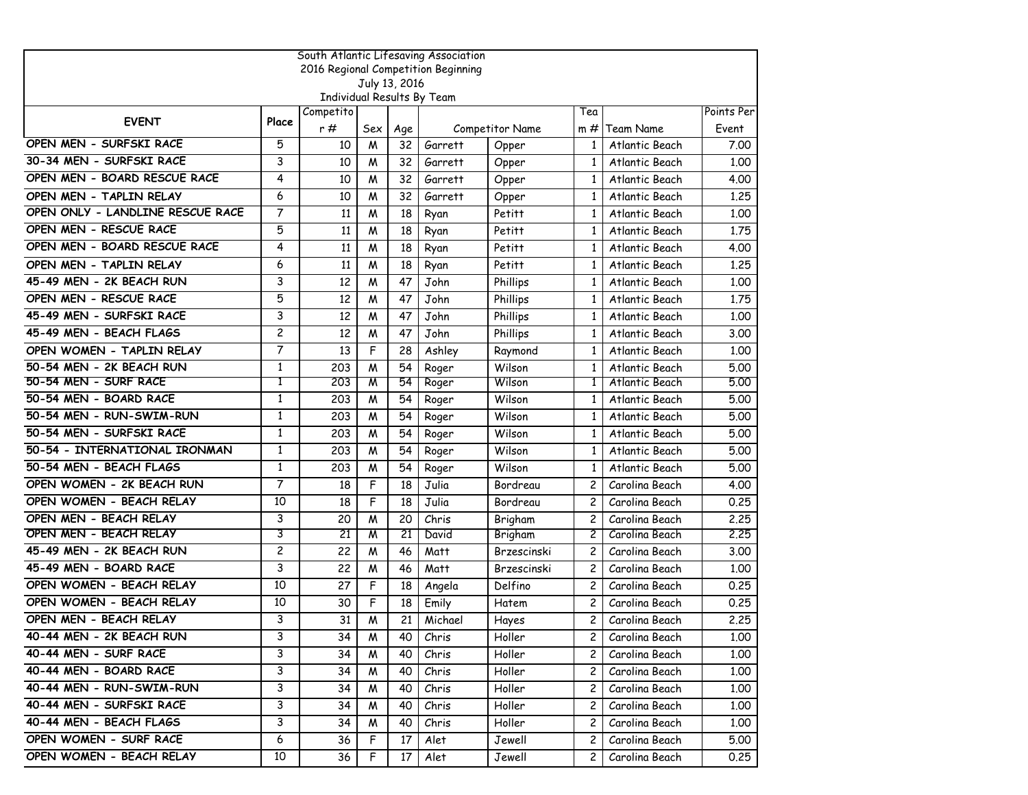| South Atlantic Lifesaving Association |                |                            |     |               |                                     |                    |                       |                |            |  |  |
|---------------------------------------|----------------|----------------------------|-----|---------------|-------------------------------------|--------------------|-----------------------|----------------|------------|--|--|
|                                       |                |                            |     |               | 2016 Regional Competition Beginning |                    |                       |                |            |  |  |
|                                       |                | Individual Results By Team |     | July 13, 2016 |                                     |                    |                       |                |            |  |  |
|                                       |                | Competito                  |     |               |                                     |                    | Tea                   |                | Points Per |  |  |
| <b>EVENT</b>                          | Place          | r#                         | Sex | Age           |                                     | Competitor Name    | $m \#$                | Team Name      | Event      |  |  |
| OPEN MEN - SURFSKI RACE               | 5              | 10                         | M   | 32            | Garrett                             | Opper              | $\mathbf{1}$          | Atlantic Beach | 7.00       |  |  |
| 30-34 MEN - SURFSKI RACE              | 3              | 10                         | M   | 32            | Garrett                             | Opper              | $\mathbf{1}$          | Atlantic Beach | 1.00       |  |  |
| OPEN MEN - BOARD RESCUE RACE          | 4              | 10                         | M   | 32            | Garrett                             | Opper              | $\mathbf{1}$          | Atlantic Beach | 4.00       |  |  |
| OPEN MEN - TAPLIN RELAY               | 6              | 10                         | M   | 32            | Garrett                             | Opper              | 1                     | Atlantic Beach | 1.25       |  |  |
| OPEN ONLY - LANDLINE RESCUE RACE      | 7              | 11                         | M   | 18            | Ryan                                | Petitt             | $\mathbf{1}$          | Atlantic Beach | 1.00       |  |  |
| OPEN MEN - RESCUE RACE                | 5              | 11                         | W   | 18            | Ryan                                | Petitt             | $\mathbf{1}$          | Atlantic Beach | 1,75       |  |  |
| OPEN MEN - BOARD RESCUE RACE          | 4              | 11                         | M   | 18            | Ryan                                | Petitt             | 1                     | Atlantic Beach | 4.00       |  |  |
| OPEN MEN - TAPLIN RELAY               | 6              | 11                         | M   | 18            | Ryan                                | Petitt             | $\mathbf{1}$          | Atlantic Beach | 1,25       |  |  |
| 45-49 MEN - 2K BEACH RUN              | 3              | 12                         | M   | 47            | John                                | Phillips           | 1                     | Atlantic Beach | 1.00       |  |  |
| OPEN MEN - RESCUE RACE                | 5              | 12                         | M   | 47            | John                                | Phillips           | $\mathbf{1}$          | Atlantic Beach | 1,75       |  |  |
| 45-49 MEN - SURFSKI RACE              | 3              | 12                         | M   | 47            | John                                | Phillips           | $\mathbf{1}$          | Atlantic Beach | 1.00       |  |  |
| 45-49 MEN - BEACH FLAGS               | $\overline{c}$ | 12                         | M   | 47            | John                                | Phillips           | $\mathbf{1}$          | Atlantic Beach | 3.00       |  |  |
| OPEN WOMEN - TAPLIN RELAY             | 7              | 13                         | F   | 28            | Ashley                              | Raymond            | $\mathbf{1}$          | Atlantic Beach | 1.00       |  |  |
| 50-54 MEN - 2K BEACH RUN              | $\mathbf{1}$   | 203                        | M   | 54            | Roger                               | Wilson             | 1                     | Atlantic Beach | 5.00       |  |  |
| 50-54 MEN - SURF RACE                 | Τ              | 203                        | M   | 54            | Roger                               | Wilson             | 1                     | Atlantic Beach | 5.00       |  |  |
| 50-54 MEN - BOARD RACE                | 1              | 203                        | M   | 54            | Roger                               | Wilson             | 1                     | Atlantic Beach | 5.00       |  |  |
| 50-54 MEN - RUN-SWIM-RUN              | $\mathbf{1}$   | 203                        | M   | 54            | Roger                               | Wilson             | 1                     | Atlantic Beach | 5.00       |  |  |
| 50-54 MEN - SURFSKI RACE              | $\mathbf{1}$   | 203                        | M   | 54            | Roger                               | Wilson             | 1                     | Atlantic Beach | 5.00       |  |  |
| 50-54 - INTERNATIONAL IRONMAN         | 1              | 203                        | W   | 54            | Roger                               | Wilson             | $\mathbf{1}$          | Atlantic Beach | 5.00       |  |  |
| 50-54 MEN - BEACH FLAGS               | 1              | 203                        | W   | 54            | Roger                               | Wilson             | 1                     | Atlantic Beach | 5.00       |  |  |
| OPEN WOMEN - 2K BEACH RUN             | 7              | 18                         | F   | 18            | Julia                               | Bordreau           | 2                     | Carolina Beach | 4.00       |  |  |
| OPEN WOMEN - BEACH RELAY              | 10             | 18                         | F   | 18            | Julia                               | Bordreau           | $\overline{c}$        | Carolina Beach | 0.25       |  |  |
| OPEN MEN - BEACH RELAY                | 3              | 20                         | M   | 20            | Chris                               | Brigham            | $\overline{c}$        | Carolina Beach | 2.25       |  |  |
| OPEN MEN - BEACH RELAY                | 3              | 21                         | W   | 21            | David                               | Brigham            | 2                     | Carolina Beach | 2.25       |  |  |
| 45-49 MEN - 2K BEACH RUN              | $\overline{c}$ | 22                         | M   | 46            | Matt                                | <b>Brzescinski</b> | $\overline{c}$        | Carolina Beach | 3.00       |  |  |
| 45-49 MEN - BOARD RACE                | 3              | 22                         | M   | 46            | Matt                                | Brzescinski        | 2                     | Carolina Beach | 1,00       |  |  |
| OPEN WOMEN - BEACH RELAY              | 10             | 27                         | F   | 18            | Angela                              | Delfino            | $\overline{c}$        | Carolina Beach | 0.25       |  |  |
| OPEN WOMEN - BEACH RELAY              | 10             | 30                         | F   | 18            | Emily                               | Hatem              | $\overline{c}$        | Carolina Beach | 0.25       |  |  |
| OPEN MEN - BEACH RELAY                | 3              | 31                         | W   | 21            | Michael                             | Hayes              | $\overline{c}$        | Carolina Beach | 2.25       |  |  |
| 40-44 MEN - 2K BEACH RUN              | 3              | 34                         | M   | 40            | Chris                               | Holler             | 2                     | Carolina Beach | 1.00       |  |  |
| 40-44 MEN - SURF RACE                 | 3              | 34                         | M   | 40            | Chris                               | Holler             | $\mathbf{2}^{\prime}$ | Carolina Beach | 1.00       |  |  |
| 40-44 MEN - BOARD RACE                | 3              | 34                         | M   | 40            | Chris                               | Holler             | 2                     | Carolina Beach | 1.00       |  |  |
| 40-44 MEN - RUN-SWIM-RUN              | 3              | 34                         | W   | 40            | Chris                               | Holler             | 2                     | Carolina Beach | 1.00       |  |  |
| 40-44 MEN - SURFSKI RACE              | 3              | 34                         | M   | 40            | Chris                               | Holler             | 2                     | Carolina Beach | 1.00       |  |  |
| 40-44 MEN - BEACH FLAGS               | 3              | 34                         | M   | 40            | Chris                               | Holler             | $\mathbf{2}^{\prime}$ | Carolina Beach | 1.00       |  |  |
| OPEN WOMEN - SURF RACE                | 6              | 36                         | F   | 17            | Alet                                | Jewell             | 2                     | Carolina Beach | 5.00       |  |  |
| OPEN WOMEN - BEACH RELAY              | 10             | 36                         | F   | 17            | Alet                                | Jewell             | $\mathsf{2}$          | Carolina Beach | 0.25       |  |  |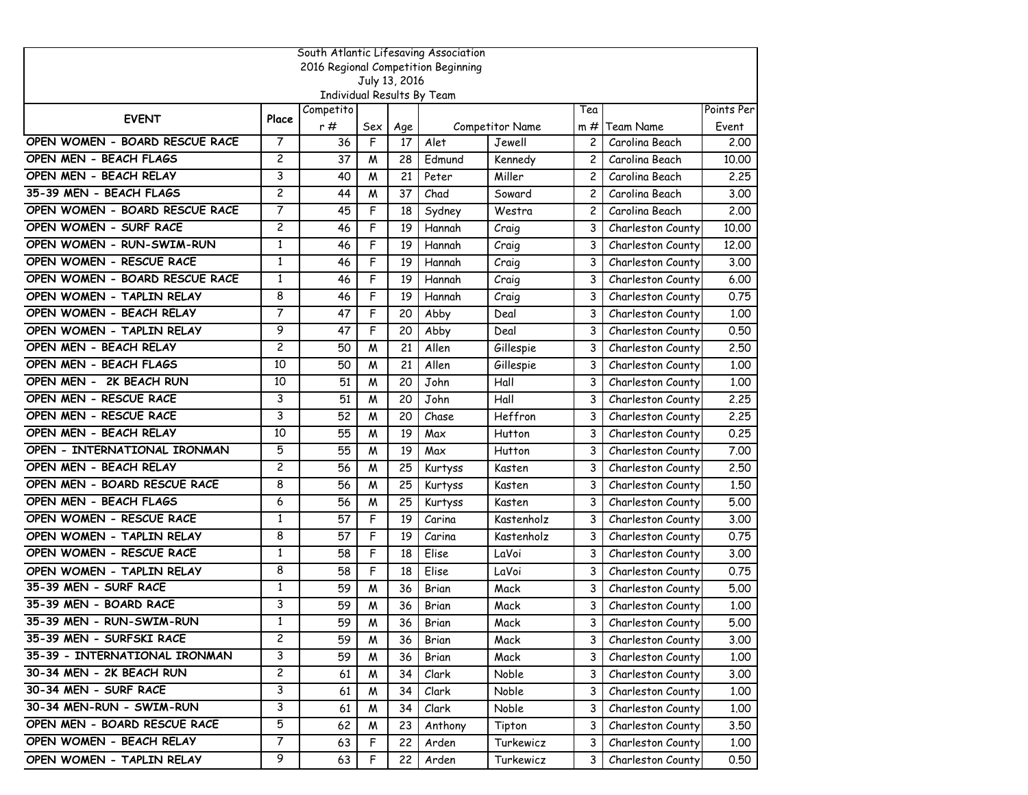| South Atlantic Lifesaving Association |                |                                         |     |               |                                     |                 |                |                   |            |  |
|---------------------------------------|----------------|-----------------------------------------|-----|---------------|-------------------------------------|-----------------|----------------|-------------------|------------|--|
|                                       |                |                                         |     |               | 2016 Regional Competition Beginning |                 |                |                   |            |  |
|                                       |                |                                         |     | July 13, 2016 |                                     |                 |                |                   |            |  |
|                                       |                | Individual Results By Team<br>Competito |     |               |                                     |                 | Tea            |                   | Points Per |  |
| <b>EVENT</b>                          | Place          | r#                                      | Sex | Age           |                                     | Competitor Name | $m \#$         | Team Name         | Event      |  |
| OPEN WOMEN - BOARD RESCUE RACE        | $\overline{7}$ | 36                                      | F   | 17            | Alet                                | Jewell          | $\overline{c}$ | Carolina Beach    | 2.00       |  |
| OPEN MEN - BEACH FLAGS                | $\overline{c}$ | 37                                      | M   | 28            | Edmund                              | Kennedy         | $\overline{c}$ | Carolina Beach    | 10.00      |  |
| OPEN MEN - BEACH RELAY                | 3              | 40                                      | M   | 21            | Peter                               | Miller          | $\overline{c}$ | Carolina Beach    | 2,25       |  |
| 35-39 MEN - BEACH FLAGS               | $\overline{c}$ | 44                                      | M   | 37            | Chad                                | Soward          | 2              | Carolina Beach    | 3.00       |  |
| OPEN WOMEN - BOARD RESCUE RACE        | 7              | 45                                      | F   | 18            | Sydney                              | Westra          | $\overline{c}$ | Carolina Beach    | 2.00       |  |
| OPEN WOMEN - SURF RACE                | $\overline{c}$ | 46                                      | F   | 19            | Hannah                              | Craig           | 3              | Charleston County | 10.00      |  |
| OPEN WOMEN - RUN-SWIM-RUN             | 1              | 46                                      | F   | 19            | Hannah                              | Craig           | 3              | Charleston County | 12,00      |  |
| OPEN WOMEN - RESCUE RACE              | $\mathbf{1}$   | 46                                      | F   | 19            | Hannah                              | Craig           | 3              | Charleston County | 3.00       |  |
| OPEN WOMEN - BOARD RESCUE RACE        | 1              | 46                                      | F   | 19            | Hannah                              | Craig           | 3              | Charleston County | 6.00       |  |
| OPEN WOMEN - TAPLIN RELAY             | 8              | 46                                      | F   | 19            | Hannah                              | Craig           | 3              | Charleston County | 0.75       |  |
| OPEN WOMEN - BEACH RELAY              | $\overline{7}$ | 47                                      | F   | 20            | Abby                                | Deal            | 3              | Charleston County | 1.00       |  |
| OPEN WOMEN - TAPLIN RELAY             | 9              | 47                                      | F   | 20            | Abby                                | Deal            | 3              | Charleston County | 0.50       |  |
| OPEN MEN - BEACH RELAY                | $\overline{c}$ | 50                                      | M   | 21            | Allen                               | Gillespie       | 3              | Charleston County | 2.50       |  |
| OPEN MEN - BEACH FLAGS                | 10             | 50                                      | M   | 21            | Allen                               | Gillespie       | 3              | Charleston County | 1.00       |  |
| OPEN MEN - 2K BEACH RUN               | 10             | 51                                      | M   | 20            | John                                | Hall            | 3              | Charleston County | 1.00       |  |
| OPEN MEN - RESCUE RACE                | 3              | 51                                      | M   | 20            | John                                | Hall            | 3              | Charleston County | 2.25       |  |
| OPEN MEN - RESCUE RACE                | 3              | 52                                      | M   | 20            | Chase                               | Heffron         | 3              | Charleston County | 2,25       |  |
| OPEN MEN - BEACH RELAY                | 10             | 55                                      | M   | 19            | Max                                 | Hutton          | 3              | Charleston County | 0.25       |  |
| OPEN - INTERNATIONAL IRONMAN          | 5              | 55                                      | M   | 19            | Max                                 | Hutton          | 3              | Charleston County | 7.00       |  |
| OPEN MEN - BEACH RELAY                | $\overline{c}$ | 56                                      | M   | 25            | Kurtyss                             | Kasten          | 3              | Charleston County | 2.50       |  |
| OPEN MEN - BOARD RESCUE RACE          | 8              | 56                                      | M   | 25            | Kurtyss                             | Kasten          | 3              | Charleston County | 1.50       |  |
| OPEN MEN - BEACH FLAGS                | 6              | 56                                      | M   | 25            | Kurtyss                             | Kasten          | 3              | Charleston County | 5.00       |  |
| OPEN WOMEN - RESCUE RACE              | $\mathbf{1}$   | 57                                      | F   | 19            | Carina                              | Kastenholz      | 3              | Charleston County | 3.00       |  |
| OPEN WOMEN - TAPLIN RELAY             | 8              | 57                                      | F   | 19            | Carina                              | Kastenholz      | 3              | Charleston County | 0.75       |  |
| OPEN WOMEN - RESCUE RACE              | $\mathbf{1}$   | 58                                      | F   | 18            | Elise                               | LaVoi           | 3              | Charleston County | 3.00       |  |
| OPEN WOMEN - TAPLIN RELAY             | 8              | 58                                      | F   | 18            | Elise                               | LaVoi           | 3              | Charleston County | 0.75       |  |
| 35-39 MEN - SURF RACE                 | 1              | 59                                      | M   | 36            | Brian                               | Mack            | 3              | Charleston County | 5.00       |  |
| 35-39 MEN - BOARD RACE                | 3              | 59                                      | M   | 36            | Brian                               | Mack            | 3              | Charleston County | 1.00       |  |
| 35-39 MEN - RUN-SWIM-RUN              | 1              | 59                                      | M   | 36            | Brian                               | Mack            | 3              | Charleston County | 5.00       |  |
| 35-39 MEN - SURFSKI RACE              | $\overline{c}$ | 59                                      | W   | 36            | Brian                               | Mack            | 3              | Charleston County | 3.00       |  |
| 35-39 - INTERNATIONAL IRONMAN         | 3              | 59                                      | W   | 36            | Brian                               | Mack            | 3              | Charleston County | 1.00       |  |
| 30-34 MEN - 2K BEACH RUN              | 2              | 61                                      | W   | 34            | Clark                               | Noble           | 3              | Charleston County | 3.00       |  |
| 30-34 MEN - SURF RACE                 | 3              | 61                                      | Μ   | 34            | Clark                               | Noble           | 3              | Charleston County | 1.00       |  |
| 30-34 MEN-RUN - SWIM-RUN              | 3              | 61                                      | M   | 34            | Clark                               | Noble           | 3              | Charleston County | 1.00       |  |
| OPEN MEN - BOARD RESCUE RACE          | 5              | 62                                      | W   | 23            | Anthony                             | Tipton          | 3              | Charleston County | 3.50       |  |
| OPEN WOMEN - BEACH RELAY              | 7              | 63                                      | F   | 22            | Arden                               | Turkewicz       | 3              | Charleston County | 1.00       |  |
| OPEN WOMEN - TAPLIN RELAY             | 9              | 63                                      | F   | 22            | Arden                               | Turkewicz       | 3              | Charleston County | 0.50       |  |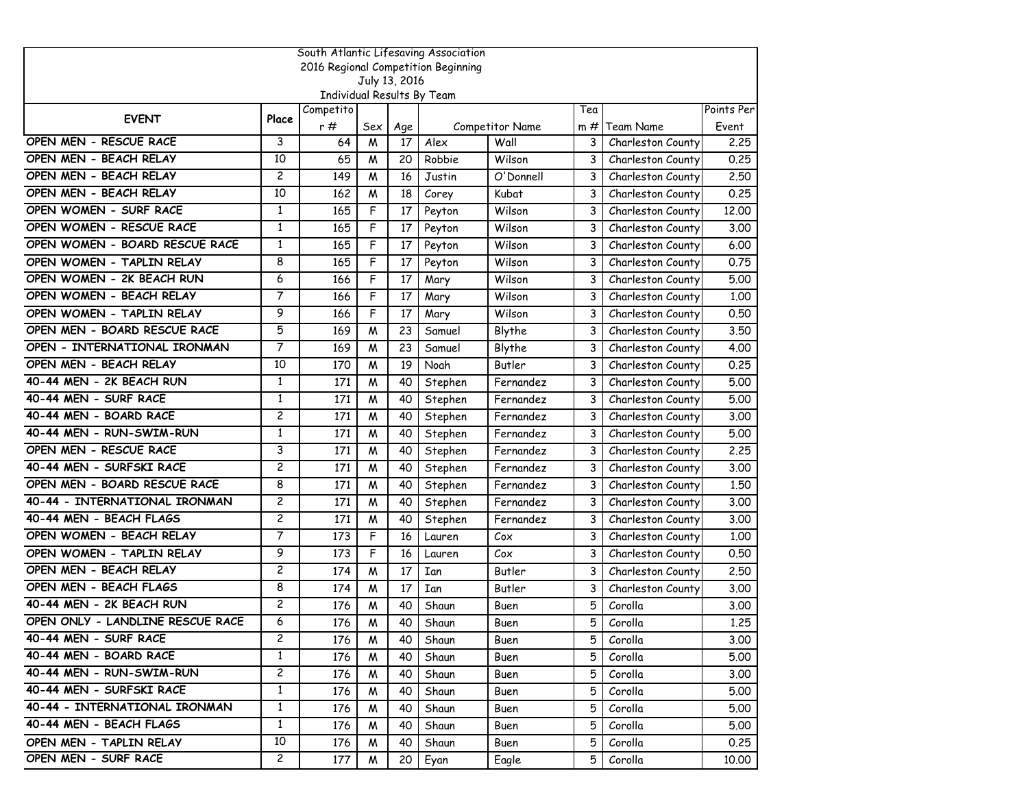| South Atlantic Lifesaving Association |                |                            |     |               |                                     |                 |        |                   |            |  |  |
|---------------------------------------|----------------|----------------------------|-----|---------------|-------------------------------------|-----------------|--------|-------------------|------------|--|--|
|                                       |                |                            |     |               | 2016 Regional Competition Beginning |                 |        |                   |            |  |  |
|                                       |                | Individual Results By Team |     | July 13, 2016 |                                     |                 |        |                   |            |  |  |
|                                       |                | Competito                  |     |               |                                     |                 | Tea    |                   | Points Per |  |  |
| <b>EVENT</b>                          | Place          | r#                         | Sex | Age           |                                     | Competitor Name | $m \#$ | Team Name         | Event      |  |  |
| OPEN MEN - RESCUE RACE                | 3              | 64                         | M   | 17            | Alex                                | Wall            | 3      | Charleston County | 2.25       |  |  |
| OPEN MEN - BEACH RELAY                | 10             | 65                         | M   | 20            | Robbie                              | Wilson          | 3      | Charleston County | 0.25       |  |  |
| OPEN MEN - BEACH RELAY                | $\overline{c}$ | 149                        | M   | 16            | Justin                              | O'Donnell       | 3      | Charleston County | 2,50       |  |  |
| OPEN MEN - BEACH RELAY                | 10             | 162                        | M   | 18            | Corey                               | Kubat           | 3      | Charleston County | 0.25       |  |  |
| OPEN WOMEN - SURF RACE                | 1              | 165                        | F   | 17            | Peyton                              | Wilson          | 3      | Charleston County | 12.00      |  |  |
| OPEN WOMEN - RESCUE RACE              | $\mathbf{1}$   | 165                        | F   | 17            | Peyton                              | Wilson          | 3      | Charleston County | 3.00       |  |  |
| OPEN WOMEN - BOARD RESCUE RACE        | 1              | 165                        | F   | 17            | Peyton                              | Wilson          | 3      | Charleston County | 6.00       |  |  |
| OPEN WOMEN - TAPLIN RELAY             | 8              | 165                        | F   | 17            | Peyton                              | Wilson          | 3      | Charleston County | 0.75       |  |  |
| OPEN WOMEN - 2K BEACH RUN             | 6              | 166                        | F   | 17            | Mary                                | Wilson          | 3      | Charleston County | 5.00       |  |  |
| OPEN WOMEN - BEACH RELAY              | 7              | 166                        | F   | 17            | Mary                                | Wilson          | 3      | Charleston County | 1.00       |  |  |
| OPEN WOMEN - TAPLIN RELAY             | 9              | 166                        | F   | 17            | Mary                                | Wilson          | 3      | Charleston County | 0.50       |  |  |
| OPEN MEN - BOARD RESCUE RACE          | 5              | 169                        | M   | 23            | Samuel                              | Blythe          | 3      | Charleston County | 3.50       |  |  |
| OPEN - INTERNATIONAL IRONMAN          | 7              | 169                        | M   | 23            | Samuel                              | Blythe          | 3      | Charleston County | 4.00       |  |  |
| OPEN MEN - BEACH RELAY                | 10             | 170                        | M   | 19            | Noah                                | Butler          | 3      | Charleston County | 0.25       |  |  |
| 40-44 MEN - 2K BEACH RUN              | 1              | 171                        | M   | 40            | Stephen                             | Fernandez       | 3      | Charleston County | 5.00       |  |  |
| 40-44 MEN - SURF RACE                 | $\mathbf{1}$   | 171                        | W   | 40            | Stephen                             | Fernandez       | 3      | Charleston County | 5.00       |  |  |
| 40-44 MEN - BOARD RACE                | $\overline{c}$ | 171                        | M   | 40            | Stephen                             | Fernandez       | 3      | Charleston County | 3.00       |  |  |
| 40-44 MEN - RUN-SWIM-RUN              | $\mathbf{1}$   | 171                        | M   | 40            | Stephen                             | Fernandez       | 3      | Charleston County | 5.00       |  |  |
| OPEN MEN - RESCUE RACE                | 3              | 171                        | M   | 40            | Stephen                             | Fernandez       | 3      | Charleston County | 2.25       |  |  |
| 40-44 MEN - SURFSKI RACE              | $\overline{c}$ | 171                        | M   | 40            | Stephen                             | Fernandez       | 3      | Charleston County | 3.00       |  |  |
| OPEN MEN - BOARD RESCUE RACE          | 8              | 171                        | W   | 40            | Stephen                             | Fernandez       | 3      | Charleston County | 1.50       |  |  |
| 40-44 - INTERNATIONAL IRONMAN         | $\overline{c}$ | 171                        | M   | 40            | Stephen                             | Fernandez       | 3      | Charleston County | 3.00       |  |  |
| 40-44 MEN - BEACH FLAGS               | $\overline{c}$ | 171                        | M   | 40            | Stephen                             | Fernandez       | 3      | Charleston County | 3.00       |  |  |
| OPEN WOMEN - BEACH RELAY              | 7              | 173                        | F   | 16            | Lauren                              | Cox             | 3      | Charleston County | 1.00       |  |  |
| OPEN WOMEN - TAPLIN RELAY             | 9              | 173                        | F   | 16            | Lauren                              | C <sub>0</sub>  | 3      | Charleston County | 0.50       |  |  |
| OPEN MEN - BEACH RELAY                | $\overline{c}$ | 174                        | W   | 17            | Ian                                 | Butler          | 3      | Charleston County | 2.50       |  |  |
| OPEN MEN - BEACH FLAGS                | 8              | 174                        | M   | 17            | Ian                                 | Butler          | 3      | Charleston County | 3.00       |  |  |
| 40-44 MEN - 2K BEACH RUN              | $\overline{c}$ | 176                        | M   | 40            | Shaun                               | Buen            | 5      | Corolla           | 3.00       |  |  |
| OPEN ONLY - LANDLINE RESCUE RACE      | 6              | 176                        | M   | 40            | Shaun                               | Buen            | 5      | Corolla           | 1,25       |  |  |
| 40-44 MEN - SURF RACE                 | $\overline{c}$ | 176                        | W   | 40            | Shaun                               | Buen            | 5      | Corolla           | 3.00       |  |  |
| 40-44 MEN - BOARD RACE                | $\mathbf{1}$   | 176                        | W   | 40            | Shaun                               | Buen            | 5      | Corolla           | 5.00       |  |  |
| 40-44 MEN - RUN-SWIM-RUN              | $\overline{c}$ | 176                        | M   | 40            | Shaun                               | Buen            | 5.     | Corolla           | 3.00       |  |  |
| 40-44 MEN - SURFSKI RACE              | 1              | 176                        | W   | 40            | Shaun                               | Buen            | 5      | Corolla           | 5.00       |  |  |
| 40-44 - INTERNATIONAL IRONMAN         | $\mathbf{1}$   | 176                        | M   | 40            | Shaun                               | Buen            | 5      | Corolla           | 5.00       |  |  |
| 40-44 MEN - BEACH FLAGS               | $\mathbf{1}$   | 176                        | W   | 40            | Shaun                               | Buen            | 5      | Corolla           | 5.00       |  |  |
| OPEN MEN - TAPLIN RELAY               | 10             | 176                        | W   | 40            | Shaun                               | Buen            | 5      | Corolla           | 0.25       |  |  |
| OPEN MEN - SURF RACE                  | $\mathbf{2}$   | 177                        | M   | 20            | Eyan                                | Eagle           | 5.     | Corolla           | 10.00      |  |  |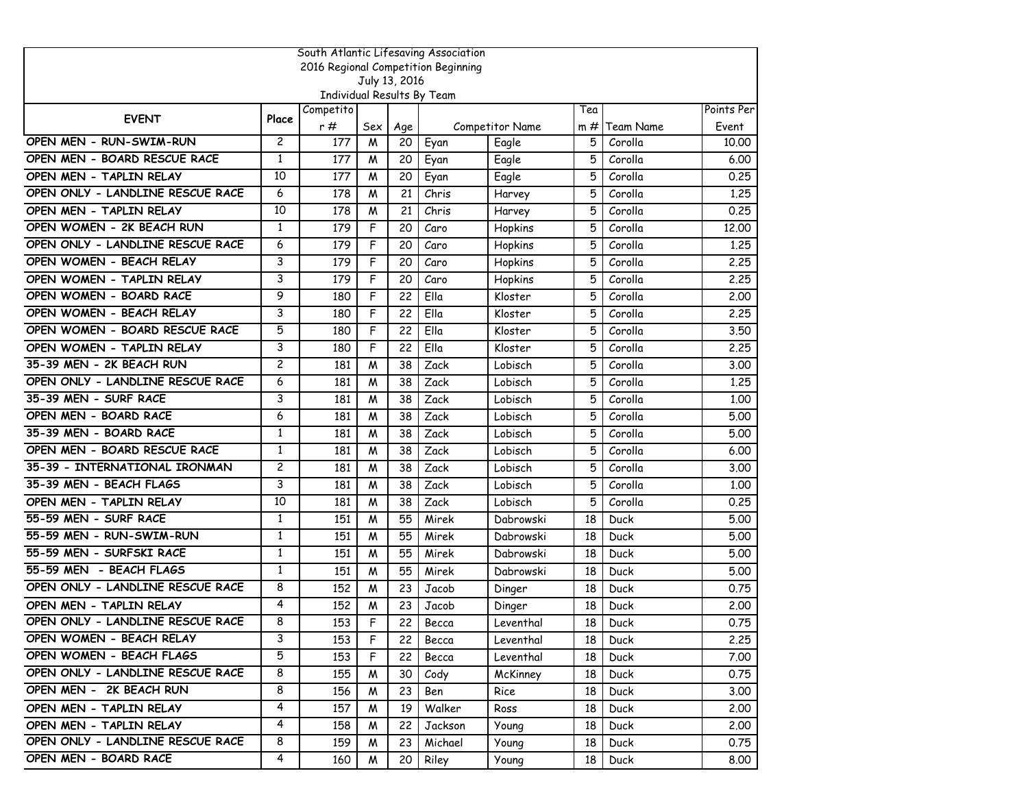| South Atlantic Lifesaving Association |                |                            |     |               |                                     |                 |     |             |            |  |  |
|---------------------------------------|----------------|----------------------------|-----|---------------|-------------------------------------|-----------------|-----|-------------|------------|--|--|
|                                       |                |                            |     |               | 2016 Regional Competition Beginning |                 |     |             |            |  |  |
|                                       |                | Individual Results By Team |     | July 13, 2016 |                                     |                 |     |             |            |  |  |
|                                       |                | Competito                  |     |               |                                     |                 | Tea |             | Points Per |  |  |
| <b>EVENT</b>                          | Place          | r#                         | Sex | Age           |                                     | Competitor Name | m#  | Team Name   | Event      |  |  |
| OPEN MEN - RUN-SWIM-RUN               | $\overline{c}$ | 177                        | M   | 20            | Eyan                                | Eagle           | 5   | Corolla     | 10.00      |  |  |
| OPEN MEN - BOARD RESCUE RACE          | $\mathbf{1}$   | 177                        | M   | 20            | Eyan                                | Eagle           | 5   | Corolla     | 6.00       |  |  |
| OPEN MEN - TAPLIN RELAY               | 10             | 177                        | M   | 20            | Eyan                                | Eagle           | 5   | Corolla     | 0.25       |  |  |
| OPEN ONLY - LANDLINE RESCUE RACE      | 6              | 178                        | M   | 21            | Chris                               | Harvey          | 5   | Corolla     | 1.25       |  |  |
| OPEN MEN - TAPLIN RELAY               | 10             | 178                        | M   | 21            | Chris                               | Harvey          | 5   | Corolla     | 0.25       |  |  |
| OPEN WOMEN - 2K BEACH RUN             | $\mathbf{1}$   | 179                        | F   | 20            | Caro                                | Hopkins         | 5   | Corolla     | 12,00      |  |  |
| OPEN ONLY - LANDLINE RESCUE RACE      | 6              | 179                        | F   | 20            | Caro                                | Hopkins         | 5   | Corolla     | 1.25       |  |  |
| OPEN WOMEN - BEACH RELAY              | 3              | 179                        | F   | 20            | Caro                                | Hopkins         | 5   | Corolla     | 2.25       |  |  |
| OPEN WOMEN - TAPLIN RELAY             | 3              | 179                        | F   | 20            | Caro                                | Hopkins         | 5   | Corolla     | 2.25       |  |  |
| OPEN WOMEN - BOARD RACE               | 9              | 180                        | F   | 22            | Ella                                | Kloster         | 5   | Corolla     | 2.00       |  |  |
| OPEN WOMEN - BEACH RELAY              | 3              | 180                        | F   | 22            | Ella                                | Kloster         | 5   | Corolla     | 2.25       |  |  |
| OPEN WOMEN - BOARD RESCUE RACE        | 5              | 180                        | F   | 22            | Ella                                | Kloster         | 5   | Corolla     | 3.50       |  |  |
| OPEN WOMEN - TAPLIN RELAY             | 3              | 180                        | F   | 22            | Ella                                | Kloster         | 5   | Corolla     | 2.25       |  |  |
| 35-39 MEN - 2K BEACH RUN              | $\overline{c}$ | 181                        | M   | 38            | Zack                                | Lobisch         | 5   | Corolla     | 3.00       |  |  |
| OPEN ONLY - LANDLINE RESCUE RACE      | 6              | 181                        | M   | 38            | Zack                                | Lobisch         | 5   | Corolla     | 1.25       |  |  |
| 35-39 MEN - SURF RACE                 | 3              | 181                        | M   | 38            | Zack                                | Lobisch         | 5   | Corolla     | 1,00       |  |  |
| OPEN MEN - BOARD RACE                 | 6              | 181                        | M   | 38            | Zack                                | Lobisch         | 5   | Corolla     | 5.00       |  |  |
| 35-39 MEN - BOARD RACE                | $\mathbf{1}$   | 181                        | M   | 38            | Zack                                | Lobisch         | 5   | Corolla     | 5.00       |  |  |
| OPEN MEN - BOARD RESCUE RACE          | 1              | 181                        | M   | 38            | Zack                                | Lobisch         | 5   | Corolla     | 6.00       |  |  |
| 35-39 - INTERNATIONAL IRONMAN         | $\overline{c}$ | 181                        | M   | 38            | Zack                                | Lobisch         | 5   | Corolla     | 3.00       |  |  |
| 35-39 MEN - BEACH FLAGS               | 3              | 181                        | W   | 38            | Zack                                | Lobisch         | 5   | Corolla     | 1.00       |  |  |
| OPEN MEN - TAPLIN RELAY               | 10             | 181                        | M   | 38            | Zack                                | Lobisch         | 5   | Corolla     | 0.25       |  |  |
| 55-59 MEN - SURF RACE                 | $\mathbf{1}$   | 151                        | M   | 55            | Mirek                               | Dabrowski       | 18  | Duck        | 5.00       |  |  |
| 55-59 MEN - RUN-SWIM-RUN              | 1              | 151                        | M   | 55            | Mirek                               | Dabrowski       | 18  | Duck        | 5.00       |  |  |
| 55-59 MEN - SURFSKI RACE              | $\mathbf{1}$   | 151                        | M   | 55            | Mirek                               | Dabrowski       | 18  | Duck        | 5.00       |  |  |
| 55-59 MEN - BEACH FLAGS               | $\mathbf{1}$   | 151                        | M   | 55            | Mirek                               | Dabrowski       | 18  | Duck        | 5.00       |  |  |
| OPEN ONLY - LANDLINE RESCUE RACE      | 8              | 152                        | M   | 23            | Jacob                               | Dinger          | 18  | Duck        | 0.75       |  |  |
| OPEN MEN - TAPLIN RELAY               | 4              | 152                        | M   | 23            | Jacob                               | Dinger          | 18  | Duck        | 2.00       |  |  |
| OPEN ONLY - LANDLINE RESCUE RACE      | 8              | 153                        | F   | 22            | Becca                               | Leventhal       | 18  | Duck        | 0.75       |  |  |
| OPEN WOMEN - BEACH RELAY              | 3              | 153                        | F   | 22            | Becca                               | Leventhal       | 18  | Duck        | 2.25       |  |  |
| OPEN WOMEN - BEACH FLAGS              | 5              | 153                        | F   | 22            | Becca                               | Leventhal       | 18  | Duck        | 7.00       |  |  |
| OPEN ONLY - LANDLINE RESCUE RACE      | 8              | 155                        | M   | 30            | Cody                                | McKinney        | 18  | Duck        | 0.75       |  |  |
| OPEN MEN - 2K BEACH RUN               | 8              | 156                        | W   | 23            | Ben                                 | Rice            | 18  | Duck        | 3.00       |  |  |
| OPEN MEN - TAPLIN RELAY               | 4              | 157                        | M   | 19            | Walker                              | Ross            | 18  | <b>Duck</b> | 2.00       |  |  |
| OPEN MEN - TAPLIN RELAY               | 4              | 158                        | W   | 22            | Jackson                             | Young           | 18  | Duck        | 2.00       |  |  |
| OPEN ONLY - LANDLINE RESCUE RACE      | 8              | 159                        | M   | 23            | Michael                             | Young           | 18  | Duck        | 0.75       |  |  |
| OPEN MEN - BOARD RACE                 | 4              | 160                        | M   | 20            | Riley                               | Young           | 18  | Duck        | 8.00       |  |  |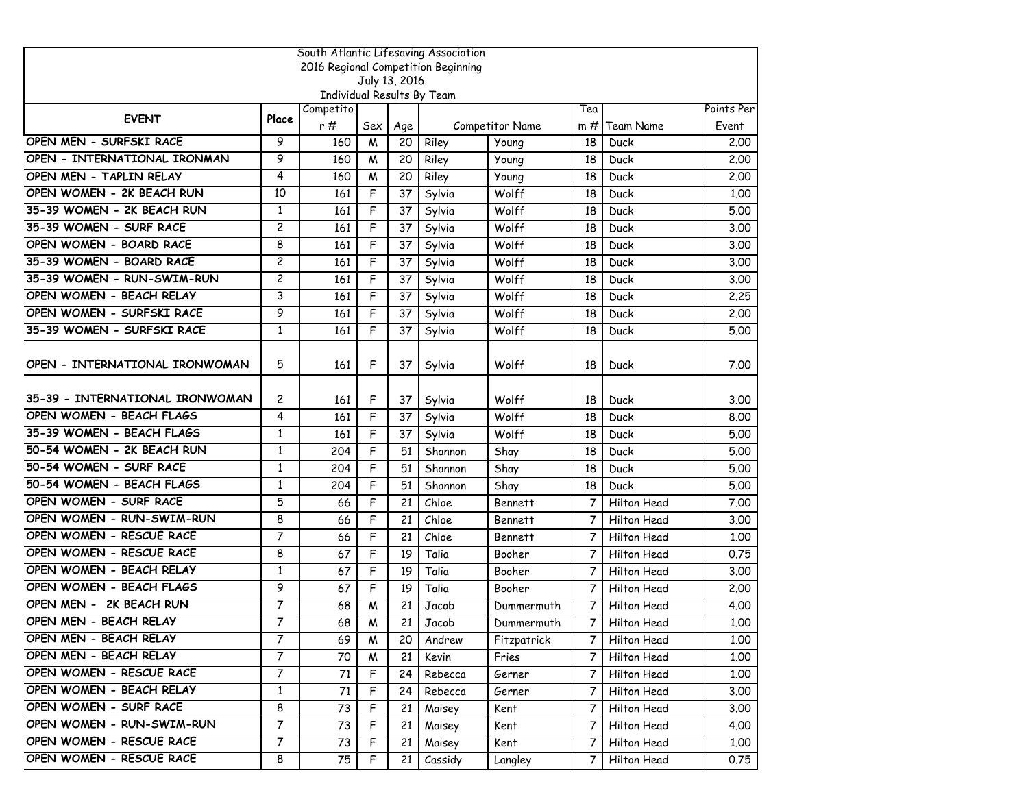| South Atlantic Lifesaving Association |                |                            |     |               |                                     |                 |                |             |            |  |
|---------------------------------------|----------------|----------------------------|-----|---------------|-------------------------------------|-----------------|----------------|-------------|------------|--|
|                                       |                |                            |     |               | 2016 Regional Competition Beginning |                 |                |             |            |  |
|                                       |                | Individual Results By Team |     | July 13, 2016 |                                     |                 |                |             |            |  |
|                                       |                | Competito                  |     |               |                                     |                 | Tea            |             | Points Per |  |
| <b>EVENT</b>                          | Place          | r#                         | Sex | Age           |                                     | Competitor Name | m#             | Team Name   | Event      |  |
| OPEN MEN - SURFSKI RACE               | 9              | 160                        | M   | 20            | Riley                               | Young           | 18             | Duck        | 2.00       |  |
| OPEN - INTERNATIONAL IRONMAN          | 9              | 160                        | M   | 20            | Riley                               | Young           | 18             | Duck        | 2,00       |  |
| OPEN MEN - TAPLIN RELAY               | 4              | 160                        | M   | 20            | Riley                               | Young           | 18             | Duck        | 2,00       |  |
| OPEN WOMEN - 2K BEACH RUN             | 10             | 161                        | F   | 37            | Sylvia                              | Wolff           | 18             | Duck        | 1.00       |  |
| 35-39 WOMEN - 2K BEACH RUN            | $\mathbf{1}$   | 161                        | F   | 37            | Sylvia                              | Wolff           | 18             | Duck        | 5.00       |  |
| 35-39 WOMEN - SURF RACE               | $\overline{c}$ | 161                        | F   | 37            | Sylvia                              | Wolff           | 18             | Duck        | 3.00       |  |
| OPEN WOMEN - BOARD RACE               | 8              | 161                        | F   | 37            | Sylvia                              | Wolff           | 18             | Duck        | 3.00       |  |
| 35-39 WOMEN - BOARD RACE              | $\overline{c}$ | 161                        | F   | 37            | Sylvia                              | Wolff           | 18             | Duck        | 3.00       |  |
| 35-39 WOMEN - RUN-SWIM-RUN            | $\overline{c}$ | 161                        | F   | 37            | Sylvia                              | Wolff           | 18             | Duck        | 3.00       |  |
| OPEN WOMEN - BEACH RELAY              | 3              | 161                        | F   | 37            | Sylvia                              | Wolff           | 18             | Duck        | 2.25       |  |
| OPEN WOMEN - SURFSKI RACE             | 9              | 161                        | F   | 37            | Sylvia                              | Wolff           | 18             | Duck        | 2.00       |  |
| 35-39 WOMEN - SURFSKI RACE            | 1              | 161                        | F   | 37            | Sylvia                              | Wolff           | 18             | Duck        | 5.00       |  |
|                                       |                |                            |     |               |                                     |                 |                |             |            |  |
| OPEN - INTERNATIONAL IRONWOMAN        | 5              | 161                        | F   | 37            | Sylvia                              | Wolff           | 18             | Duck        | 7.00       |  |
|                                       |                |                            |     |               |                                     |                 |                |             |            |  |
| 35-39 - INTERNATIONAL IRONWOMAN       | 2              | 161                        | F   | 37            | Sylvia                              | Wolff           | 18             | Duck        | 3.00       |  |
| OPEN WOMEN - BEACH FLAGS              | 4              | 161                        | F   | 37            | Sylvia                              | Wolff           | 18             | Duck        | 8.00       |  |
| 35-39 WOMEN - BEACH FLAGS             | 1              | 161                        | F   | 37            | Sylvia                              | Wolff           | 18             | Duck        | 5.00       |  |
| 50-54 WOMEN - 2K BEACH RUN            | 1              | 204                        | F   | 51            | Shannon                             | Shay            | 18             | Duck        | 5.00       |  |
| 50-54 WOMEN - SURF RACE               | $\mathbf{1}$   | 204                        | F   | 51            | Shannon                             | Shay            | 18             | Duck        | 5.00       |  |
| 50-54 WOMEN - BEACH FLAGS             | $\mathbf{1}$   | 204                        | F   | 51            | Shannon                             | Shay            | 18             | Duck        | 5.00       |  |
| OPEN WOMEN - SURF RACE                | 5              | 66                         | F   | 21            | Chloe                               | <b>Bennett</b>  | 7              | Hilton Head | 7.00       |  |
| OPEN WOMEN - RUN-SWIM-RUN             | 8              | 66                         | F   | 21            | Chloe                               | <b>Bennett</b>  | 7              | Hilton Head | 3.00       |  |
| OPEN WOMEN - RESCUE RACE              | 7              | 66                         | F   | 21            | Chloe                               | <b>Bennett</b>  | 7              | Hilton Head | 1.00       |  |
| OPEN WOMEN - RESCUE RACE              | 8              | 67                         | F   | 19            | Talia                               | Booher          | 7              | Hilton Head | 0.75       |  |
| OPEN WOMEN - BEACH RELAY              | $\mathbf{1}$   | 67                         | F   | 19            | Talia                               | Booher          | $\overline{7}$ | Hilton Head | 3.00       |  |
| OPEN WOMEN - BEACH FLAGS              | 9              | 67                         | F   | 19            | Talia                               | Booher          | 7              | Hilton Head | 2.00       |  |
| OPEN MEN - 2K BEACH RUN               | 7              | 68                         | M   | 21            | Jacob                               | Dummermuth      | 7              | Hilton Head | 4.00       |  |
| OPEN MEN - BEACH RELAY                | 7              | 68                         | M   | 21            | Jacob                               | Dummermuth      | 7 <sup>1</sup> | Hilton Head | 1.00       |  |
| OPEN MEN - BEACH RELAY                | 7              | 69                         | W   | 20            | Andrew                              | Fitzpatrick     | $\mathcal{T}$  | Hilton Head | 1.00       |  |
| OPEN MEN - BEACH RELAY                | $\overline{7}$ | 70                         | W   | 21            | Kevin                               | Fries           | $\mathcal{I}$  | Hilton Head | 1.00       |  |
| OPEN WOMEN - RESCUE RACE              | 7              | 71                         | F   | 24            | Rebecca                             | Gerner          | 7              | Hilton Head | 1.00       |  |
| OPEN WOMEN - BEACH RELAY              | 1              | 71                         | F   | 24            | Rebecca                             | Gerner          | 7              | Hilton Head | 3.00       |  |
| OPEN WOMEN - SURF RACE                | 8              | 73                         | F   | 21            | Maisey                              | Kent            | 7              | Hilton Head | 3.00       |  |
| OPEN WOMEN - RUN-SWIM-RUN             | 7              | 73                         | F   | 21            | Maisey                              | Kent            | 7              | Hilton Head | 4.00       |  |
| OPEN WOMEN - RESCUE RACE              | $\overline{7}$ | 73                         | F   | 21            | Maisey                              | Kent            | $7^{\circ}$    | Hilton Head | 1.00       |  |
| OPEN WOMEN - RESCUE RACE              | 8              | 75                         | F   | 21            | Cassidy                             | Langley         | 7              | Hilton Head | 0.75       |  |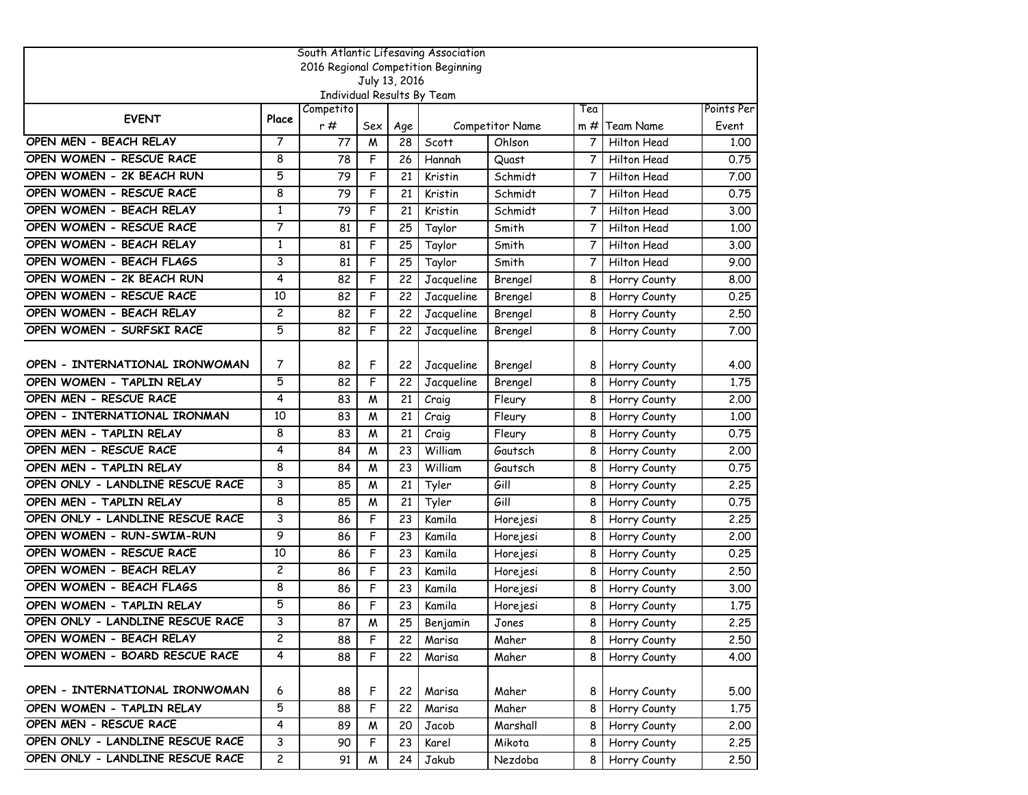| South Atlantic Lifesaving Association |                |                            |          |               |                                     |                           |                |                          |               |  |  |
|---------------------------------------|----------------|----------------------------|----------|---------------|-------------------------------------|---------------------------|----------------|--------------------------|---------------|--|--|
|                                       |                |                            |          |               | 2016 Regional Competition Beginning |                           |                |                          |               |  |  |
|                                       |                |                            |          | July 13, 2016 |                                     |                           |                |                          |               |  |  |
|                                       |                | Individual Results By Team |          |               |                                     |                           |                |                          |               |  |  |
| <b>EVENT</b>                          | Place          | Competito<br>r#            |          |               |                                     |                           | Tea            |                          | Points Per    |  |  |
| OPEN MEN - BEACH RELAY                | 7              | 77                         | Sex<br>M | Age<br>28     | Scott                               | Competitor Name<br>Ohlson | $m \#$<br>7    | Team Name<br>Hilton Head | Event<br>1,00 |  |  |
| OPEN WOMEN - RESCUE RACE              | 8              | 78                         | F        | 26            | Hannah                              | Quast                     | 7              | Hilton Head              | 0.75          |  |  |
| OPEN WOMEN - 2K BEACH RUN             | 5              | 79                         | F        | 21            | Kristin                             | Schmidt                   | 7              | Hilton Head              | 7.00          |  |  |
| OPEN WOMEN - RESCUE RACE              | 8              | 79                         | F        | 21            | Kristin                             | Schmidt                   | 7              | Hilton Head              | 0.75          |  |  |
| OPEN WOMEN - BEACH RELAY              | $\mathbf{1}$   | 79                         | F        | 21            | Kristin                             | Schmidt                   | 7              | Hilton Head              | 3.00          |  |  |
| OPEN WOMEN - RESCUE RACE              | 7              | 81                         | F        | 25            | Taylor                              | Smith                     | $\overline{7}$ | Hilton Head              | 1.00          |  |  |
| OPEN WOMEN - BEACH RELAY              | 1              | 81                         | F        | 25            |                                     | Smith                     | 7              | Hilton Head              | 3.00          |  |  |
| OPEN WOMEN - BEACH FLAGS              |                |                            |          |               | Taylor                              |                           |                |                          |               |  |  |
|                                       | 3              | 81                         | F        | 25            | Taylor                              | Smith                     | 7              | Hilton Head              | 9.00          |  |  |
| OPEN WOMEN - 2K BEACH RUN             | 4              | 82                         | F        | 22            | Jacqueline                          | Brengel                   | 8              | Horry County             | 8,00          |  |  |
| OPEN WOMEN - RESCUE RACE              | 10             | 82                         | F        | 22            | Jacqueline                          | Brengel                   | 8              | Horry County             | 0.25          |  |  |
| OPEN WOMEN - BEACH RELAY              | $\overline{c}$ | 82                         | F        | 22            | Jacqueline                          | Brengel                   | 8              | Horry County             | 2.50          |  |  |
| OPEN WOMEN - SURFSKI RACE             | 5              | 82                         | F        | 22            | Jacqueline                          | Brengel                   | 8              | Horry County             | 7.00          |  |  |
| OPEN - INTERNATIONAL IRONWOMAN        | 7              |                            |          |               |                                     |                           |                |                          |               |  |  |
|                                       |                | 82                         | F        | 22            | Jacqueline                          | Brengel                   | 8              | Horry County             | 4.00          |  |  |
| OPEN WOMEN - TAPLIN RELAY             | 5              | 82                         | F        | 22            | Jacqueline                          | Brengel                   | 8              | Horry County             | 1.75          |  |  |
| OPEN MEN - RESCUE RACE                | 4              | 83                         | M        | 21            | Craig                               | Fleury                    | 8              | Horry County             | 2.00          |  |  |
| OPEN - INTERNATIONAL IRONMAN          | 10             | 83                         | M        | 21            | Craig                               | Fleury                    | 8              | Horry County             | 1.00          |  |  |
| OPEN MEN - TAPLIN RELAY               | 8              | 83                         | M        | 21            | Craig                               | Fleury                    | 8              | Horry County             | 0.75          |  |  |
| OPEN MEN - RESCUE RACE                | 4              | 84                         | M        | 23            | William                             | Gautsch                   | 8              | Horry County             | 2,00          |  |  |
| OPEN MEN - TAPLIN RELAY               | 8              | 84                         | M        | 23            | William                             | Gautsch                   | 8              | Horry County             | 0.75          |  |  |
| OPEN ONLY - LANDLINE RESCUE RACE      | 3              | 85                         | M        | 21            | Tyler                               | Gill                      | 8              | Horry County             | 2.25          |  |  |
| OPEN MEN - TAPLIN RELAY               | 8              | 85                         | M        | 21            | Tyler                               | Gill                      | 8              | Horry County             | 0.75          |  |  |
| OPEN ONLY - LANDLINE RESCUE RACE      | 3              | 86                         | F        | 23            | Kamila                              | Horejesi                  | 8              | Horry County             | 2.25          |  |  |
| OPEN WOMEN - RUN-SWIM-RUN             | 9              | 86                         | F        | 23            | Kamila                              | Horejesi                  | 8              | Horry County             | 2,00          |  |  |
| OPEN WOMEN - RESCUE RACE              | 10             | 86                         | F        | 23            | Kamila                              | Horejesi                  | 8              | Horry County             | 0.25          |  |  |
| OPEN WOMEN - BEACH RELAY              | $\overline{c}$ | 86                         | F        | 23            | Kamila                              | Horejesi                  | 8              | Horry County             | 2.50          |  |  |
| OPEN WOMEN - BEACH FLAGS              | 8              | 86                         | F        | 23            | Kamila                              | Horejesi                  | 8              | Horry County             | 3.00          |  |  |
| OPEN WOMEN - TAPLIN RELAY             | 5              | 86                         | F        | 23            | Kamila                              | Horejesi                  | 8              | Horry County             | 1,75          |  |  |
| OPEN ONLY - LANDLINE RESCUE RACE      | 3              | 87                         | M        | 25            | Benjamin                            | Jones                     | 8              | Horry County             | 2.25          |  |  |
| OPEN WOMEN - BEACH RELAY              | $\mathbf{2}$   | 88                         | F        | 22            | Marisa                              | Maher                     | 81             | Horry County             | 2.50          |  |  |
| OPEN WOMEN - BOARD RESCUE RACE        | $\overline{4}$ | 88                         | F        | 22            | Marisa                              | Maher                     | 8              | Horry County             | 4.00          |  |  |
|                                       |                |                            |          |               |                                     |                           |                |                          |               |  |  |
| OPEN - INTERNATIONAL IRONWOMAN        | 6              | 88                         | F        | 22            | Marisa                              | Maher                     | 8              | Horry County             | 5.00          |  |  |
| OPEN WOMEN - TAPLIN RELAY             | 5              | 88                         | F        | 22            | Marisa                              | Maher                     | 8              | Horry County             | 1.75          |  |  |
| OPEN MEN - RESCUE RACE                | 4              | 89                         | M        | 20            | Jacob                               | Marshall                  | 8              | Horry County             | 2.00          |  |  |
| OPEN ONLY - LANDLINE RESCUE RACE      | 3              | 90                         | F        | 23            | Karel                               | Mikota                    | 8              | Horry County             | 2.25          |  |  |
| OPEN ONLY - LANDLINE RESCUE RACE      | $\mathsf{2}$   | 91                         | M        | 24            | Jakub                               | Nezdoba                   | 8              | Horry County             | 2.50          |  |  |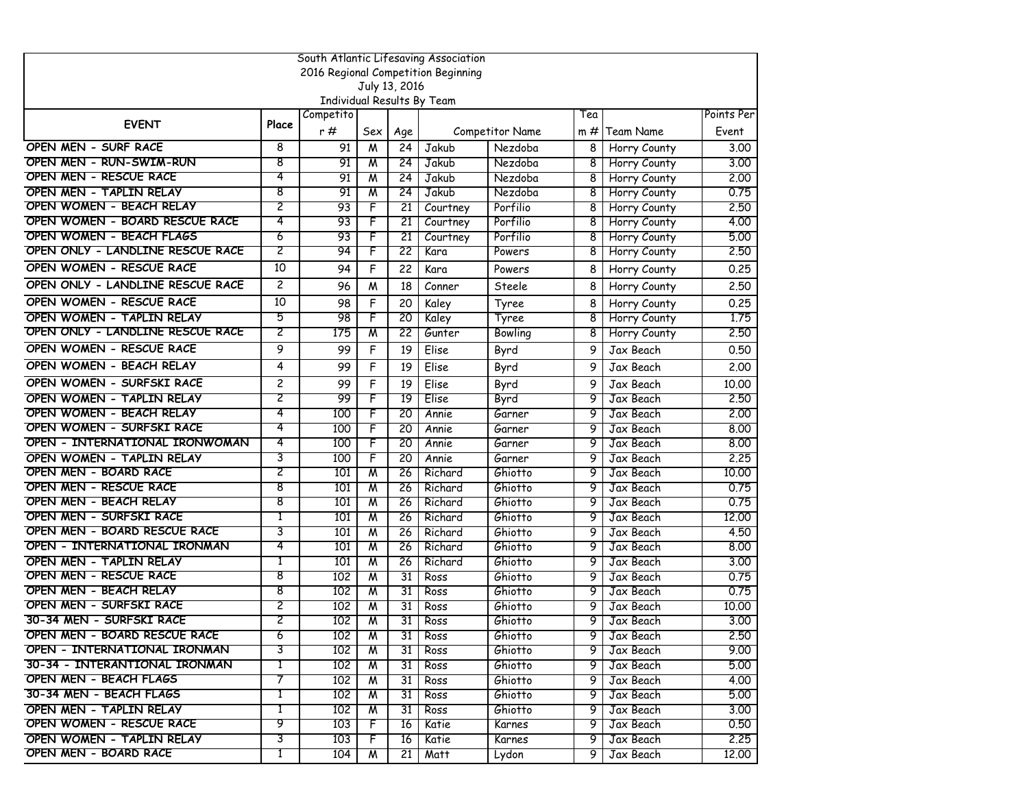| South Atlantic Lifesaving Association |                |                            |                         |                 |                                     |                        |     |                     |            |  |  |
|---------------------------------------|----------------|----------------------------|-------------------------|-----------------|-------------------------------------|------------------------|-----|---------------------|------------|--|--|
|                                       |                |                            |                         |                 | 2016 Regional Competition Beginning |                        |     |                     |            |  |  |
|                                       |                |                            | July 13, 2016           |                 |                                     |                        |     |                     |            |  |  |
|                                       |                | Individual Results By Team |                         |                 |                                     |                        |     |                     |            |  |  |
| <b>EVENT</b>                          | Place          | Competito                  |                         |                 |                                     |                        | Tea |                     | Points Per |  |  |
|                                       |                | r #                        | Sex                     | Age             |                                     | <b>Competitor Name</b> | m # | Team Name           | Event      |  |  |
| OPEN MEN - SURF RACE                  | 8              | 91                         | M                       | 24              | <b>Jakub</b>                        | Nezdoba                | 8   | Horry County        | 3.00       |  |  |
| OPEN MEN - RUN-SWIM-RUN               | 8              | 91                         | $\overline{\mathsf{M}}$ | 24              | Jakub                               | Nezdoba                | 8   | Horry County        | 3,00       |  |  |
| <b>OPEN MEN - RESCUE RACE</b>         | 4              | 91                         | M                       | 24              | Jakub                               | Nezdoba                | 8   | Horry County        | 2.00       |  |  |
| OPEN MEN - TAPLIN RELAY               | 8              | 91                         | M                       | 24              | Jakub                               | Nezdoba                | 8   | <b>Horry County</b> | 0.75       |  |  |
| OPEN WOMEN - BEACH RELAY              | 2              | 93                         | F                       | 21              | Courtney                            | Porfilio               | 8   | Horry County        | 2.50       |  |  |
| OPEN WOMEN - BOARD RESCUE RACE        | 4              | 93                         | F                       | 21              | Courtney                            | Porfilio               | 8   | Horry County        | 4.00       |  |  |
| OPEN WOMEN - BEACH FLAGS              | 6              | 93                         | F                       | 21              | Courtney                            | Porfilio               | 8   | Horry County        | 5.00       |  |  |
| OPEN ONLY - LANDLINE RESCUE RACE      | 2              | 94                         | F                       | 22              | Kara                                | Powers                 | 8   | Horry County        | 2.50       |  |  |
| OPEN WOMEN - RESCUE RACE              | 10             | 94                         | F                       | 22              | Kara                                | Powers                 | 8   | Horry County        | 0.25       |  |  |
| OPEN ONLY - LANDLINE RESCUE RACE      | $\overline{c}$ | 96                         | M                       | 18              | Conner                              | Steele                 | 8   | Horry County        | 2.50       |  |  |
| OPEN WOMEN - RESCUE RACE              | 10             | 98                         | F                       | 20              | Kaley                               | Tyree                  | 8   | Horry County        | 0.25       |  |  |
| OPEN WOMEN - TAPLIN RELAY             | 5              | 98                         | F                       | 20              | Kaley                               | Tyree                  | 8   | Horry County        | 1.75       |  |  |
| OPEN ONLY - LANDLINE RESCUE RACE      | 2              | 175                        | $\overline{\mathsf{M}}$ | 22              | Gunter                              | Bowling                | 8   | Horry County        | 2.50       |  |  |
| OPEN WOMEN - RESCUE RACE              | 9              | 99                         | F                       | 19              | Elise                               | Byrd                   | 9   | Jax Beach           | 0.50       |  |  |
| OPEN WOMEN - BEACH RELAY              | 4              | 99                         | F                       | 19              | Elise                               | Byrd                   | 9   | Jax Beach           | 2.00       |  |  |
| OPEN WOMEN - SURFSKI RACE             | $\overline{c}$ | 99                         | F                       | 19              | Elise                               | Byrd                   | 9   | Jax Beach           | 10.00      |  |  |
| OPEN WOMEN - TAPLIN RELAY             | 2              | 99                         | F                       | $\overline{19}$ | Elise                               | Byrd                   | 9   | Jax Beach           | 2.50       |  |  |
| OPEN WOMEN - BEACH RELAY              | 4              | 100                        | F                       | 20              | Annie                               | Garner                 | 9   | Jax Beach           | 2.00       |  |  |
| OPEN WOMEN - SURFSKI RACE             | 4              | 100                        | F                       | 20              | Annie                               | Garner                 | 9   | Jax Beach           | 8.00       |  |  |
| OPEN - INTERNATIONAL IRONWOMAN        | 4              | 100                        | F                       | 20              | Annie                               | Garner                 | 9   | Jax Beach           | 8.00       |  |  |
| OPEN WOMEN - TAPLIN RELAY             | 3              | 100                        | F                       | 20              | Annie                               | Garner                 | 9   | Jax Beach           | 2.25       |  |  |
| OPEN MEN - BOARD RACE                 | 2              | 101                        | $\overline{\mathsf{M}}$ | 26              | Richard                             | Ghiotto                | 9   | Jax Beach           | 10.00      |  |  |
| OPEN MEN - RESCUE RACE                | 8              | 101                        | M                       | 26              | Richard                             | Ghiotto                | 9   | Jax Beach           | 0.75       |  |  |
| <b>OPEN MEN - BEACH RELAY</b>         | 8              | 101                        | M                       | 26              | Richard                             | Ghiotto                | 9   | Jax Beach           | 0.75       |  |  |
| OPEN MEN - SURFSKI RACE               | 1              | 101                        | W                       | 26              | Richard                             | Ghiotto                | 9   | Jax Beach           | 12.00      |  |  |
| OPEN MEN - BOARD RESCUE RACE          | 3              | 101                        | M                       | 26              | Richard                             | Ghiotto                | 9   | Jax Beach           | 4.50       |  |  |
| OPEN - INTERNATIONAL IRONMAN          | 4              | 101                        | $\overline{\mathsf{M}}$ | 26              | Richard                             | Ghiotto                | 9   | Jax Beach           | 8,00       |  |  |
| OPEN MEN - TAPLIN RELAY               | 1              | 101                        | M                       | 26              | Richard                             | Ghiotto                | 9   | Jax Beach           | 3.00       |  |  |
| <b>OPEN MEN - RESCUE RACE</b>         | 8              | 102                        | $\overline{\mathsf{M}}$ | 31              | Ross                                | Ghiotto                | 9   | Jax Beach           | 0.75       |  |  |
| OPEN MEN - BEACH RELAY                | 8              | 102                        | $\overline{\mathsf{M}}$ | 31              | Ross                                | Ghiotto                | 9   | Jax Beach           | 0.75       |  |  |
| OPEN MEN - SURFSKI RACE               | 2              | 102                        | M                       | 31              | Ross                                | Ghiotto                | 9   | Jax Beach           | 10,00      |  |  |
| 30-34 MEN - SURFSKI RACE              | 2              | 102                        | $\overline{\mathsf{M}}$ | 31              | Ross                                | Ghiotto                | 9   | Jax Beach           | 3.00       |  |  |
| OPEN MEN - BOARD RESCUE RACE          | 6              | 102                        | M                       | 31              | Ross                                | Ghiotto                | 9   | Jax Beach           | 2.50       |  |  |
| OPEN - INTERNATIONAL IRONMAN          | 3              | 102                        | M                       | 31              | Ross                                | Ghiotto                | 9   | Jax Beach           | 9.00       |  |  |
| 30-34 - INTERANTIONAL IRONMAN         | 1              | 102                        | M                       | 31              | Ross                                | Ghiotto                | 9   | Jax Beach           | 5.00       |  |  |
| OPEN MEN - BEACH FLAGS                | 7              | 102                        | W                       | 31              | Ross                                | Ghiotto                | 9   | Jax Beach           | 4.00       |  |  |
| 30-34 MEN - BEACH FLAGS               | 1              | 10 <sub>2</sub>            | M                       | 31              | Ross                                | Ghiotto                | 9.  | Jax Beach           | 5.00       |  |  |
| OPEN MEN - TAPLIN RELAY               | 1              | 102                        | M                       | 31              | Ross                                | Ghiotto                | 9.  | Jax Beach           | 3,00       |  |  |
| OPEN WOMEN - RESCUE RACE              | 9              | 103                        | F                       | 16              | Katie                               | Karnes                 | 9   | Jax Beach           | 0.50       |  |  |
| OPEN WOMEN - TAPLIN RELAY             | 3              | 103                        | F                       | 16              | Katie                               | Karnes                 | 9   | Jax Beach           | 2.25       |  |  |
| OPEN MEN - BOARD RACE                 | T              | 104                        | M                       | 21              | Matt                                | Lydon                  | 9.  | Jax Beach           | 12.00      |  |  |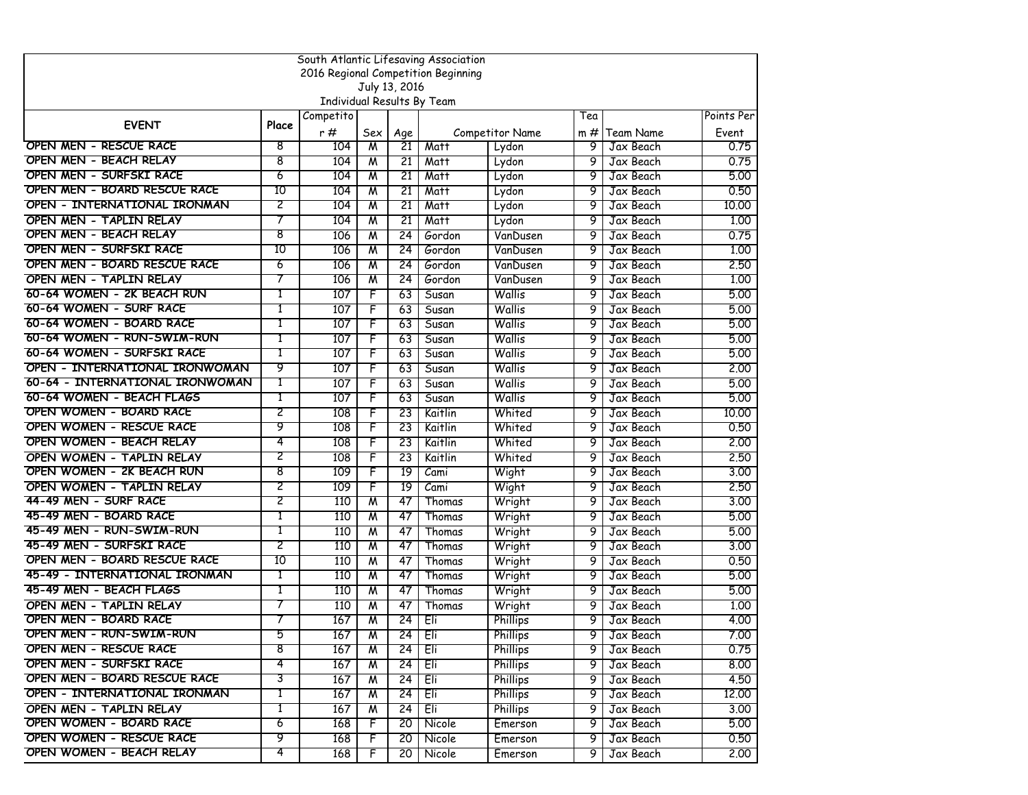|                                 |       |                            |                         |                 | South Atlantic Lifesaving Association<br>2016 Regional Competition Beginning |                 |     |           |            |
|---------------------------------|-------|----------------------------|-------------------------|-----------------|------------------------------------------------------------------------------|-----------------|-----|-----------|------------|
|                                 |       |                            | July 13, 2016           |                 |                                                                              |                 |     |           |            |
|                                 |       | Individual Results By Team |                         |                 |                                                                              |                 |     |           |            |
|                                 |       | Competito                  |                         |                 |                                                                              |                 | Tea |           | Points Per |
| <b>EVENT</b>                    | Place | r#                         | Sex                     | Age             |                                                                              | Competitor Name | m # | Team Name | Event      |
| OPEN MEN - RESCUE RACE          | 8     | 104                        | M                       | 21              | Matt                                                                         | Lydon           | 9   | Jax Beach | 0.75       |
| OPEN MEN - BEACH RELAY          | 8     | 104                        | M                       | 21              | Matt                                                                         | Lydon           | 9   | Jax Beach | 0.75       |
| OPEN MEN - SURFSKI RACE         | 6     | 104                        | $\overline{\mathsf{M}}$ | 21              | Matt                                                                         | Lydon           | 9   | Jax Beach | 5.00       |
| OPEN MEN - BOARD RESCUE RACE    | 10    | 104                        | W                       | 21              | Matt                                                                         | Lydon           | 9   | Jax Beach | 0.50       |
| OPEN - INTERNATIONAL IRONMAN    | 2     | 104                        | W                       | 21              | Matt                                                                         | Lydon           | 9   | Jax Beach | 10,00      |
| OPEN MEN - TAPLIN RELAY         | 7     | 104                        | W                       | 21              | Matt                                                                         | Lydon           | 9   | Jax Beach | 1.00       |
| OPEN MEN - BEACH RELAY          | 8     | 106                        | $\overline{\mathsf{M}}$ | 24              | Gordon                                                                       | VanDusen        | 9   | Jax Beach | 0.75       |
| OPEN MEN - SURFSKI RACE         | 10    | 106                        | $\overline{\mathsf{M}}$ | 24              | Gordon                                                                       | VanDusen        | 9   | Jax Beach | 1.00       |
| OPEN MEN - BOARD RESCUE RACE    | 6     | 106                        | M                       | 24              | Gordon                                                                       | VanDusen        | 9   | Jax Beach | 2.50       |
| OPEN MEN - TAPLIN RELAY         | 7     | 106                        | W                       | 24              | Gordon                                                                       | VanDusen        | 9   | Jax Beach | 1.00       |
| 60-64 WOMEN - 2K BEACH RUN      | 1     | 107                        | F                       | 63              | Susan                                                                        | Wallis          | 9   | Jax Beach | 5.00       |
| 60-64 WOMEN - SURF RACE         | 1     | 107                        | F                       | 63              | Susan                                                                        | Wallis          | 9   | Jax Beach | 5.00       |
| 60-64 WOMEN - BOARD RACE        | 1     | 107                        | F                       | 63              | Susan                                                                        | Wallis          | 9   | Jax Beach | 5.00       |
| 60-64 WOMEN - RUN-SWIM-RUN      |       | 107                        | F                       | 63              | Susan                                                                        | Wallis          | 9   | Jax Beach | 5.00       |
| 60-64 WOMEN - SURFSKI RACE      | 1     | 107                        | F                       | 63              | Susan                                                                        | Wallis          | 9   | Jax Beach | 5.00       |
| OPEN - INTERNATIONAL IRONWOMAN  | 9     | 107                        | F                       | 63              | Susan                                                                        | Wallis          | 9   | Jax Beach | 2.00       |
| 60-64 - INTERNATIONAL IRONWOMAN | 1     | 107                        | F                       | 63              | Susan                                                                        | Wallis          | 9   | Jax Beach | 5.00       |
| 60-64 WOMEN - BEACH FLAGS       | 1     | 107                        | F                       | 63              | Susan                                                                        | Wallis          | 9   | Jax Beach | 5.00       |
| OPEN WOMEN - BOARD RACE         | 2     | 108                        | F                       | 23              | Kaitlin                                                                      | Whited          | 9   | Jax Beach | 10.00      |
| OPEN WOMEN - RESCUE RACE        | 9     | 108                        | F                       | 23              | Kaitlin                                                                      | Whited          | 9   | Jax Beach | 0.50       |
| OPEN WOMEN - BEACH RELAY        | 4     | 108                        | F                       | 23              | Kaitlin                                                                      | Whited          | 9   | Jax Beach | 2.00       |
| OPEN WOMEN - TAPLIN RELAY       | 2     | 108                        | F                       | 23              | Kaitlin                                                                      | Whited          | 9   | Jax Beach | 2.50       |
| OPEN WOMEN - 2K BEACH RUN       | 8     | 109                        | F                       | 19              | Cami                                                                         | Wight           | 9   | Jax Beach | 3.00       |
| OPEN WOMEN - TAPLIN RELAY       | 2     | 109                        | F                       | 19              | Cami                                                                         | Wight           | 9   | Jax Beach | 2.50       |
| 44-49 MEN - SURF RACE           | 2     | 110                        | W                       | 47              | Thomas                                                                       | Wright          | 9   | Jax Beach | 3.00       |
| 45-49 MEN - BOARD RACE          | 1     | 110                        | M                       | 47              | Thomas                                                                       | Wright          | 9   | Jax Beach | 5.00       |
| 45-49 MEN - RUN-SWIM-RUN        |       | 110                        | M                       | 47              | Thomas                                                                       | Wright          | 9   | Jax Beach | 5.00       |
| 45-49 MEN - SURFSKI RACE        | 2     | 110                        | M                       | 47              | Thomas                                                                       | Wright          | 9   | Jax Beach | 3.00       |
| OPEN MEN - BOARD RESCUE RACE    | 10    | 110                        | $\overline{M}$          | 47              | Thomas                                                                       | Wright          | 9   | Jax Beach | 0.50       |
| 45-49 - INTERNATIONAL IRONMAN   | 1     | 110                        | W                       | 47              | Thomas                                                                       | Wright          | 9   | Jax Beach | 5.00       |
| 45-49 MEN - BEACH FLAGS         | 1     | 110                        | M                       | 47              | Thomas                                                                       | Wright          | 9   | Jax Beach | 5.00       |
| OPEN MEN - TAPLIN RELAY         | 7     | 110                        | M                       | 47              | Thomas                                                                       | Wright          | 9   | Jax Beach | 1.00       |
| OPEN MEN - BOARD RACE           |       | 167                        | M                       | 24              | Eli                                                                          | Phillips        | 9   | Jax Beach | 4.00       |
| OPEN MEN - RUN-SWIM-RUN         | Ð.    | 167                        | W                       | 24              | EIL                                                                          | Phillips        | ו פ | Jax Beach | 7.00       |
| OPEN MEN - RESCUE RACE          | 8     | 167                        | $\overline{M}$          | 24              | Eli                                                                          | Phillips        | 9   | Jax Beach | 0.75       |
| OPEN MEN - SURFSKI RACE         | 4     | 167                        | M                       | 24              | Eli                                                                          | Phillips        | 9   | Jax Beach | 8.00       |
| OPEN MEN - BOARD RESCUE RACE    | 3     | 167                        | M                       | 24              | Eli                                                                          | Phillips        | 9.  | Jax Beach | 4.50       |
| OPEN - INTERNATIONAL IRONMAN    | 1     | 167                        | W                       | 24              | Eli                                                                          | Phillips        | 9   | Jax Beach | 12.00      |
| OPEN MEN - TAPLIN RELAY         | 1     | 167                        | M                       | 24              | Eli                                                                          | Phillips        | 9   | Jax Beach | 3,00       |
| OPEN WOMEN - BOARD RACE         | 6     | 168                        | F                       | 20              | Nicole                                                                       | Emerson         | 9.  | Jax Beach | 5.00       |
| OPEN WOMEN - RESCUE RACE        | 9     | 168                        | F                       | 20 <sup>2</sup> | Nicole                                                                       | Emerson         | 9.  | Jax Beach | 0.50       |
| OPEN WOMEN - BEACH RELAY        | 4     | 168                        | F                       | 20 <sup>2</sup> | Nicole                                                                       | Emerson         | 9.  | Jax Beach | 2,00       |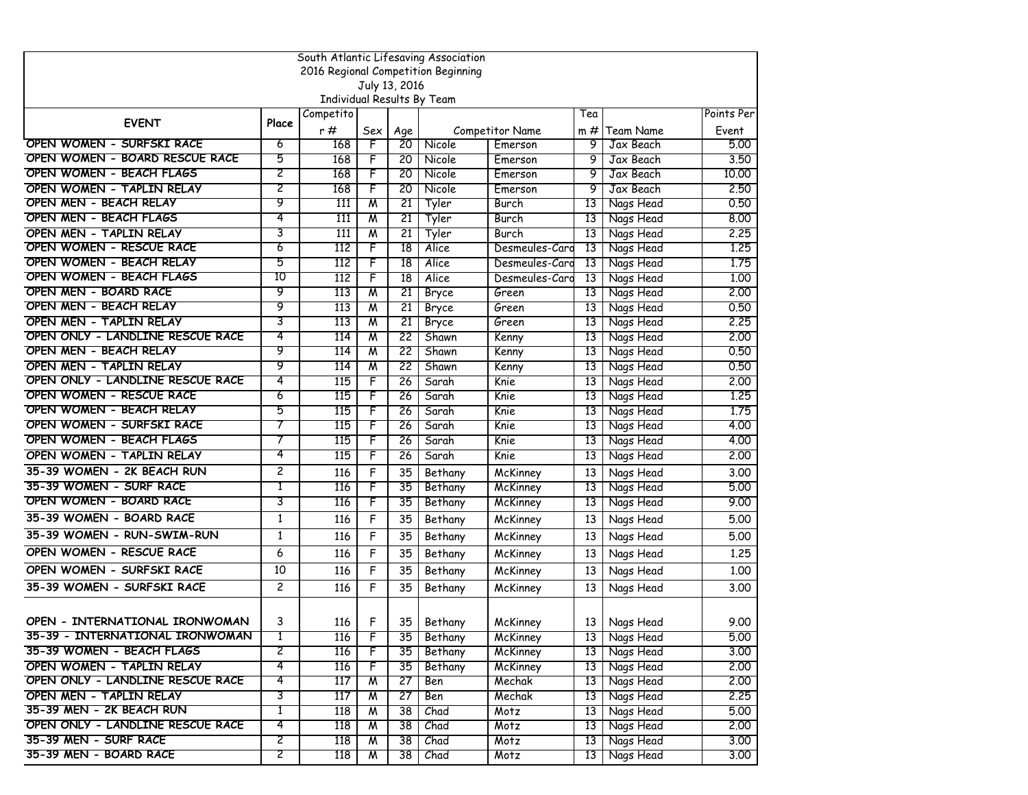| South Atlantic Lifesaving Association             |                                     |                            |                              |                 |                       |                 |                 |                        |              |  |  |  |
|---------------------------------------------------|-------------------------------------|----------------------------|------------------------------|-----------------|-----------------------|-----------------|-----------------|------------------------|--------------|--|--|--|
|                                                   | 2016 Regional Competition Beginning |                            |                              |                 |                       |                 |                 |                        |              |  |  |  |
|                                                   |                                     |                            | July 13, 2016                |                 |                       |                 |                 |                        |              |  |  |  |
|                                                   |                                     | Individual Results By Team |                              |                 |                       |                 |                 |                        |              |  |  |  |
| <b>EVENT</b>                                      | Place                               | Competito                  |                              |                 |                       |                 | Tea             |                        | Points Per   |  |  |  |
|                                                   |                                     | r #                        | Sex                          | Age             |                       | Competitor Name | m #             | Team Name              | Event        |  |  |  |
| OPEN WOMEN - SURFSKI RACE                         | 6                                   | 168                        | F                            | 20              | Nicole                | Emerson         | 9               | Jax Beach              | 5.00         |  |  |  |
| OPEN WOMEN - BOARD RESCUE RACE                    | 5                                   | 168                        | F                            | 20              | Nicole                | Emerson         | 9               | Jax Beach              | 3.50         |  |  |  |
| OPEN WOMEN - BEACH FLAGS                          | 2                                   | 168                        | F                            | 20              | Nicole                | Emerson         | 9               | Jax Beach              | 10.00        |  |  |  |
| OPEN WOMEN - TAPLIN RELAY                         | 2                                   | 168                        | F                            | 20              | Nicole                | Emerson         | 9               | Jax Beach              | 2.50         |  |  |  |
| OPEN MEN - BEACH RELAY                            | 9                                   | 111                        | W                            | 21              | Tyler                 | Burch           | 13              | Nags Head              | 0.50         |  |  |  |
| <b>OPEN MEN - BEACH FLAGS</b>                     | 4                                   | 111                        | W                            | 21              | Tyler                 | Burch           | 13              | Nags Head              | 8,00         |  |  |  |
| OPEN MEN - TAPLIN RELAY                           | 3                                   | 111                        | W                            | 21              | Tyler                 | Burch           | 13              | Nags Head              | 2.25         |  |  |  |
| OPEN WOMEN - RESCUE RACE                          | 6                                   | 112                        | F                            | 18              | Alice                 | Desmeules-Card  | 13              | Nags Head              | 1,25         |  |  |  |
| OPEN WOMEN - BEACH RELAY                          | 5<br>10                             | 112                        | F                            | 18              | Alice                 | Desmeules-Card  | 13              | Nags Head              | 1,75         |  |  |  |
| OPEN WOMEN - BEACH FLAGS<br>OPEN MEN - BOARD RACE | 9                                   | 112                        | F                            | 18              | Alice                 | Desmeules-Card  | 13              | Nags Head              | 1.00         |  |  |  |
|                                                   |                                     | 113                        | M                            | 21              | Bryce                 | Green           | 13              | Nags Head              | 2,00         |  |  |  |
| OPEN MEN - BEACH RELAY<br>OPEN MEN - TAPLIN RELAY | 9<br>3                              | 113                        | M                            | 21              | Bryce                 | Green           | 13              | Nags Head              | 0.50         |  |  |  |
| OPEN ONLY - LANDLINE RESCUE RACE                  | 4                                   | 113<br>114                 | $\overline{\mathsf{M}}$<br>M | 21<br>22        | <b>Bryce</b><br>Shawn | Green           | 13<br>13        | Nags Head              | 2.25<br>2.00 |  |  |  |
| OPEN MEN - BEACH RELAY                            | 9                                   | 114                        | W                            | 22              | Shawn                 | Kenny           | 13              | Nags Head              | 0.50         |  |  |  |
| OPEN MEN - TAPLIN RELAY                           | 9                                   | 114                        | W                            | 22              | Shawn                 | Kenny           | 13              | Nags Head<br>Nags Head | 0.50         |  |  |  |
| OPEN ONLY - LANDLINE RESCUE RACE                  | 4                                   | 115                        | F                            | 26              | Sarah                 | Kenny<br>Knie   | 13              | Nags Head              | 2.00         |  |  |  |
| OPEN WOMEN - RESCUE RACE                          | 6                                   | 115                        | F                            | 26              | Sarah                 | Knie            | 13              | Nags Head              | 1,25         |  |  |  |
| OPEN WOMEN - BEACH RELAY                          | 5                                   | 115                        | F                            | 26              | Sarah                 | Knie            | 13              | Nags Head              | 1.75         |  |  |  |
| OPEN WOMEN - SURFSKI RACE                         | 7                                   | 115                        | F                            | 26              | Sarah                 | Knie            | 13              | Nags Head              | 4.00         |  |  |  |
| OPEN WOMEN - BEACH FLAGS                          | 7                                   | 115                        | F                            | 26              | Sarah                 | Knie            | 13              | Nags Head              | 4.00         |  |  |  |
| OPEN WOMEN - TAPLIN RELAY                         | 4                                   | 115                        | F                            | 26              | Sarah                 | Knie            | 13              | Nags Head              | 2.00         |  |  |  |
| 35-39 WOMEN - 2K BEACH RUN                        | 2                                   | 116                        | F                            | 35              | Bethany               | McKinney        | 13              | Nags Head              | 3.00         |  |  |  |
| 35-39 WOMEN - SURF RACE                           | T                                   | 116                        | F                            | 35              | Bethany               | McKinney        | 13              | Nags Head              | 5.00         |  |  |  |
| OPEN WOMEN - BOARD RACE                           | 3                                   | 116                        | F                            | 35              | Bethany               | McKinney        | 13              | Nags Head              | 9.00         |  |  |  |
| 35-39 WOMEN - BOARD RACE                          | 1                                   | 116                        | F                            | 35              |                       |                 | 13              |                        | 5.00         |  |  |  |
|                                                   |                                     |                            |                              |                 | Bethany               | McKinney        |                 | Nags Head              |              |  |  |  |
| 35-39 WOMEN - RUN-SWIM-RUN                        | $\mathbf{1}$                        | 116                        | F                            | 35              | Bethany               | McKinney        | 13              | Nags Head              | 5.00         |  |  |  |
| OPEN WOMEN - RESCUE RACE                          | 6                                   | 116                        | F                            | 35              | Bethany               | McKinney        | 13              | Nags Head              | 1.25         |  |  |  |
| OPEN WOMEN - SURFSKI RACE                         | 10                                  | 116                        | F                            | 35              | Bethany               | McKinney        | 13              | Nags Head              | 1.00         |  |  |  |
| 35-39 WOMEN - SURFSKI RACE                        | $\overline{c}$                      | 116                        | F                            | 35              | Bethany               | McKinney        | 13              | Nags Head              | 3.00         |  |  |  |
|                                                   |                                     |                            |                              |                 |                       |                 |                 |                        |              |  |  |  |
| OPEN - INTERNATIONAL IRONWOMAN                    | 3                                   | 116                        | F                            | 35              | Bethany               | McKinney        | 13              | Nags Head              | 9.00         |  |  |  |
| 35-39 - INTERNATIONAL IRONWOMAN                   | 1                                   | 116                        | F                            | 35              | Bethany               | McKinney        |                 | 13 Nags Head           | 5.00         |  |  |  |
| 35-39 WOMEN - BEACH FLAGS                         | 2                                   | 116                        | F                            | 35              | Bethany               | McKinney        | 13 <sup>1</sup> | Nags Head              | 3.00         |  |  |  |
| OPEN WOMEN - TAPLIN RELAY                         | 4                                   | 116                        | F                            | 35              | Bethany               | McKinney        | 13              | Nags Head              | 2,00         |  |  |  |
| OPEN ONLY - LANDLINE RESCUE RACE                  | 4                                   | 117                        | M                            | $\overline{27}$ | Ben                   | Mechak          | 13              | Nags Head              | 2,00         |  |  |  |
| OPEN MEN - TAPLIN RELAY                           | 3                                   | 117                        | W                            | 27              | Ben                   | Mechak          | 13              | Nags Head              | 2.25         |  |  |  |
| 35-39 MEN - 2K BEACH RUN                          | Τ                                   | 118                        | M                            | $\overline{38}$ | Chad                  | Motz            | 13              | Nags Head              | 5.00         |  |  |  |
| OPEN ONLY - LANDLINE RESCUE RACE                  | 4                                   | 118                        | W                            | 38              | Chad                  | Motz            | 13 I            | Nags Head              | 2.00         |  |  |  |
| 35-39 MEN - SURF RACE                             | 2                                   | 118                        | M                            | $\overline{38}$ | Chad                  | Motz            | 13              | Nags Head              | 3.00         |  |  |  |
| 35-39 MEN - BOARD RACE                            | 2                                   | 118                        | M                            | 38              | Chad                  | Motz            |                 | 13 Nags Head           | 3,00         |  |  |  |
|                                                   |                                     |                            |                              |                 |                       |                 |                 |                        |              |  |  |  |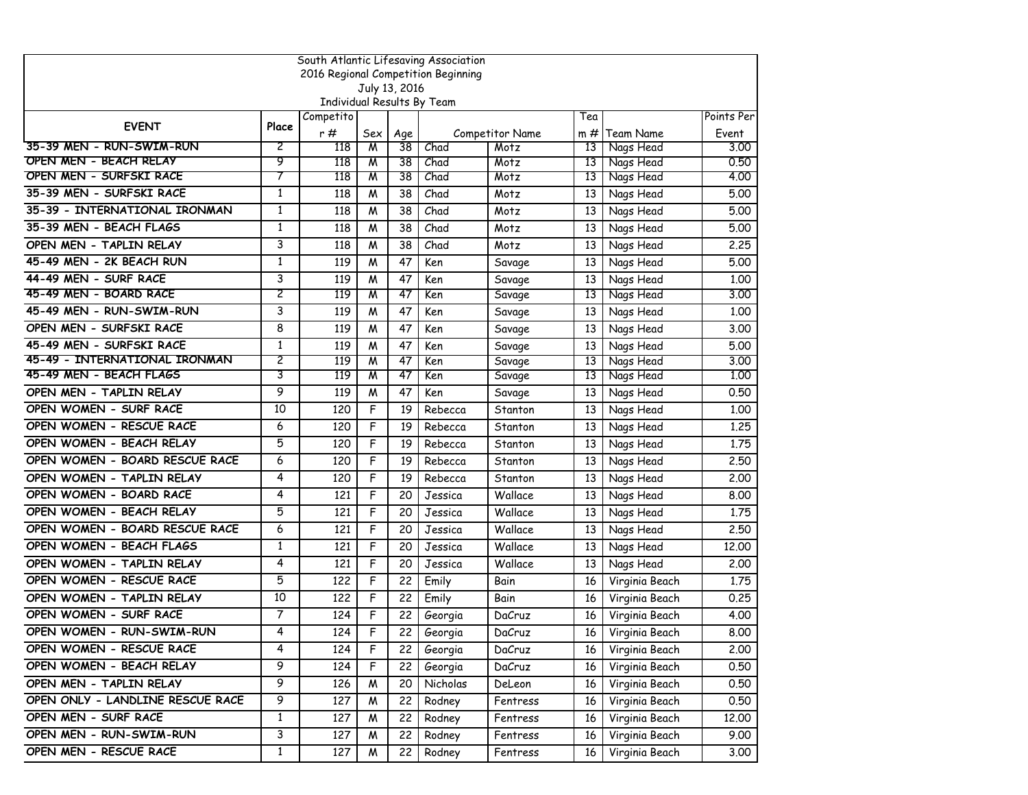| South Atlantic Lifesaving Association |              |                                         |     |                 |                                     |                        |        |                |            |  |  |
|---------------------------------------|--------------|-----------------------------------------|-----|-----------------|-------------------------------------|------------------------|--------|----------------|------------|--|--|
|                                       |              |                                         |     |                 | 2016 Regional Competition Beginning |                        |        |                |            |  |  |
|                                       |              |                                         |     | July 13, 2016   |                                     |                        |        |                |            |  |  |
|                                       |              | Individual Results By Team<br>Competito |     |                 |                                     |                        | Tea    |                | Points Per |  |  |
| <b>EVENT</b>                          | Place        | r #                                     | Sex | Age             |                                     | <b>Competitor Name</b> | $m \#$ | Team Name      | Event      |  |  |
| 35-39 MEN - RUN-SWIM-RUN              | 2            | 118                                     | M   | 38              | Chad                                | Motz                   | 13     | Nags Head      | 3,00       |  |  |
| OPEN MEN - BEACH RELAY                | 9            | 118                                     | W   | 38              | Chad                                | Motz                   | 13     | Nags Head      | 0.50       |  |  |
| OPEN MEN - SURFSKI RACE               | 7            | 118                                     | M   | 38              | Chad                                | Motz                   | 13     | Nags Head      | 4.00       |  |  |
| 35-39 MEN - SURFSKI RACE              | 1            | 118                                     | M   | 38              | Chad                                | Motz                   | 13     | Nags Head      | 5.00       |  |  |
| 35-39 - INTERNATIONAL IRONMAN         | $\mathbf{1}$ | 118                                     | W   | 38              | Chad                                | Motz                   | 13     | Nags Head      | 5.00       |  |  |
| 35-39 MEN - BEACH FLAGS               | $\mathbf{1}$ | 118                                     | M   | 38              | Chad                                | Motz                   | 13     | Nags Head      | 5.00       |  |  |
| OPEN MEN - TAPLIN RELAY               | 3            | 118                                     | M   | 38              | Chad                                | Motz                   | 13     | Nags Head      | 2,25       |  |  |
| 45-49 MEN - 2K BEACH RUN              | 1            | 119                                     | M   | 47              | Ken                                 | Savage                 | 13     | Nags Head      | 5.00       |  |  |
| 44-49 MEN - SURF RACE                 | 3            | 119                                     | M   | 47              | Ken                                 | Savage                 | 13     | Nags Head      | 1,00       |  |  |
| 45-49 MEN - BOARD RACE                | 2            | 119                                     | W   | 47              | Ken                                 | Savage                 | 13     | Nags Head      | 3,00       |  |  |
| 45-49 MEN - RUN-SWIM-RUN              | 3            | 119                                     | M   | 47              | Ken                                 | Savage                 | 13     | Nags Head      | 1.00       |  |  |
| OPEN MEN - SURFSKI RACE               | 8            | 119                                     | M   | 47              | Ken                                 | Savage                 | 13     | Nags Head      | 3.00       |  |  |
| 45-49 MEN - SURFSKI RACE              | 1            | 119                                     | M   | 47              | Ken                                 | Savage                 | 13     | Nags Head      | 5.00       |  |  |
| 45-49 - INTERNATIONAL IRONMAN         | 2            | 119                                     | W   | 47              | Ken                                 | Savage                 | 13     | Nags Head      | 3,00       |  |  |
| 45-49 MEN - BEACH FLAGS               | 3            | 119                                     | M   | 47              | Ken                                 | Savage                 | 13     | Nags Head      | 1,00       |  |  |
| OPEN MEN - TAPLIN RELAY               | 9            | 119                                     | M   | 47              | Ken                                 | Savage                 | 13     | Nags Head      | 0.50       |  |  |
| OPEN WOMEN - SURF RACE                | 10           | 120                                     | F   | 19              | Rebecca                             | Stanton                | 13     | Nags Head      | 1,00       |  |  |
| OPEN WOMEN - RESCUE RACE              | 6            | 120                                     | F   | 19              | Rebecca                             | Stanton                | 13     | Nags Head      | 1,25       |  |  |
| OPEN WOMEN - BEACH RELAY              | 5            | 120                                     | F   | 19              | Rebecca                             | Stanton                | 13     | Nags Head      | 1.75       |  |  |
| OPEN WOMEN - BOARD RESCUE RACE        | 6            | 120                                     | F   | 19              | Rebecca                             | Stanton                | 13     | Nags Head      | 2.50       |  |  |
| OPEN WOMEN - TAPLIN RELAY             | 4            | 120                                     | F   | 19              | Rebecca                             | Stanton                | 13     | Nags Head      | 2,00       |  |  |
| OPEN WOMEN - BOARD RACE               | 4            | 121                                     | F   | 20              | Jessica                             | Wallace                | 13     | Nags Head      | 8.00       |  |  |
| OPEN WOMEN - BEACH RELAY              | 5            | 121                                     | F   | 20              | Jessica                             | Wallace                | 13     | Nags Head      | 1.75       |  |  |
| OPEN WOMEN - BOARD RESCUE RACE        | 6            | 121                                     | F   | 20              | Jessica                             | Wallace                | 13     | Nags Head      | 2.50       |  |  |
| OPEN WOMEN - BEACH FLAGS              | 1            | 121                                     | F   | 20              | Jessica                             | Wallace                | 13     | Nags Head      | 12,00      |  |  |
| OPEN WOMEN - TAPLIN RELAY             | 4            | 121                                     | F   | 20              | Jessica                             | Wallace                | 13     | Nags Head      | 2,00       |  |  |
| OPEN WOMEN - RESCUE RACE              | 5            | 122                                     | F   | 22              | Emily                               | Bain                   | 16     | Virginia Beach | 1.75       |  |  |
| OPEN WOMEN - TAPLIN RELAY             | 10           | 122                                     | F   | 22              | Emily                               | Bain                   | 16     | Virginia Beach | 0.25       |  |  |
| OPEN WOMEN - SURF RACE                | 7            | 124                                     | F   | 22              | Georgia                             | DaCruz                 | 16     | Virginia Beach | 4.00       |  |  |
| OPEN WOMEN - RUN-SWIM-RUN             | 4            | 124                                     | F   | 22              | Georgia                             | DaCruz                 | 16     | Virginia Beach | 8.00       |  |  |
| OPEN WOMEN - RESCUE RACE              | 4            | 124                                     | F   | 22 I            | Georgia                             | DaCruz                 | 16     | Virginia Beach | 2.00       |  |  |
| OPEN WOMEN - BEACH RELAY              | 9            | 124                                     | F   | 22 <sub>1</sub> | Georgia                             | DaCruz                 | 16     | Virginia Beach | 0.50       |  |  |
| OPEN MEN - TAPLIN RELAY               | 9            | 126                                     | M   | 20              | Nicholas                            | DeLeon                 | 16     | Virginia Beach | 0.50       |  |  |
| OPEN ONLY - LANDLINE RESCUE RACE      | 9            | 127                                     | M   | 22              | Rodney                              | Fentress               | 16     | Virginia Beach | 0.50       |  |  |
| OPEN MEN - SURF RACE                  | $\mathbf{1}$ | 127                                     | W   | 22              | Rodney                              | Fentress               | 16     | Virginia Beach | 12.00      |  |  |
| OPEN MEN - RUN-SWIM-RUN               | 3            | 127                                     | M   | 22              | Rodney                              | Fentress               | 16     | Virginia Beach | 9.00       |  |  |
| OPEN MEN - RESCUE RACE                | 1            | 127                                     | M   | 22              | Rodney                              | Fentress               | 16     | Virginia Beach | 3.00       |  |  |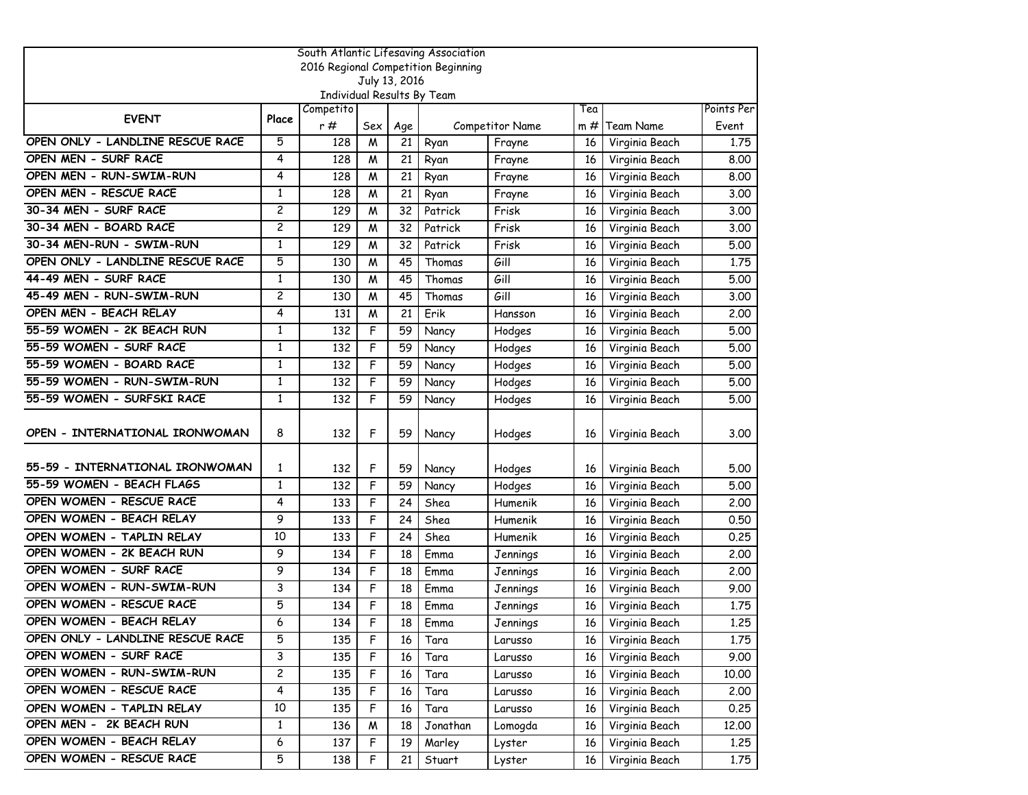| South Atlantic Lifesaving Association |                |                                         |     |               |                                     |                 |        |                  |            |  |  |
|---------------------------------------|----------------|-----------------------------------------|-----|---------------|-------------------------------------|-----------------|--------|------------------|------------|--|--|
|                                       |                |                                         |     |               | 2016 Regional Competition Beginning |                 |        |                  |            |  |  |
|                                       |                |                                         |     | July 13, 2016 |                                     |                 |        |                  |            |  |  |
|                                       |                | Individual Results By Team<br>Competito |     |               |                                     |                 | Tea    |                  | Points Per |  |  |
| <b>EVENT</b>                          | Place          | r#                                      | Sex | Age           |                                     | Competitor Name | $m \#$ | <b>Team Name</b> | Event      |  |  |
| OPEN ONLY - LANDLINE RESCUE RACE      | 5              | 128                                     | M   | 21            | Ryan                                | Frayne          | 16     | Virginia Beach   | 1,75       |  |  |
| OPEN MEN - SURF RACE                  | 4              | 128                                     | M   | 21            | Ryan                                | Frayne          | 16     | Virginia Beach   | 8.00       |  |  |
| OPEN MEN - RUN-SWIM-RUN               | 4              | 128                                     | W   | 21            | Ryan                                | Frayne          | 16     | Virginia Beach   | 8.00       |  |  |
| OPEN MEN - RESCUE RACE                | 1              | 128                                     | M   | 21            | Ryan                                | Frayne          | 16     | Virginia Beach   | 3.00       |  |  |
| 30-34 MEN - SURF RACE                 | 2              | 129                                     | M   | 32            | Patrick                             | Frisk           | 16     | Virginia Beach   | 3.00       |  |  |
| 30-34 MEN - BOARD RACE                | $\overline{c}$ | 129                                     | M   | 32            | Patrick                             | Frisk           | 16     | Virginia Beach   | 3.00       |  |  |
| 30-34 MEN-RUN - SWIM-RUN              | 1              | 129                                     | M   | 32            | Patrick                             | Frisk           | 16     | Virginia Beach   | 5.00       |  |  |
| OPEN ONLY - LANDLINE RESCUE RACE      | 5              | 130                                     | M   | 45            | Thomas                              | Gill            | 16     | Virginia Beach   | 1.75       |  |  |
| 44-49 MEN - SURF RACE                 | 1              | 130                                     | M   | 45            | Thomas                              | Gill            | 16     | Virginia Beach   | 5.00       |  |  |
| 45-49 MEN - RUN-SWIM-RUN              | 2              | 130                                     | M   | 45            | Thomas                              | Gill            | 16     | Virginia Beach   | 3.00       |  |  |
| OPEN MEN - BEACH RELAY                | 4              | 131                                     | M   | 21            | Erik                                | Hansson         | 16     | Virginia Beach   | 2.00       |  |  |
| 55-59 WOMEN - 2K BEACH RUN            | 1              | 132                                     | F   | 59            | Nancy                               | Hodges          | 16     | Virginia Beach   | 5.00       |  |  |
| 55-59 WOMEN - SURF RACE               | $\mathbf{1}$   | 132                                     | F   | 59            | Nancy                               | Hodges          | 16     | Virginia Beach   | 5.00       |  |  |
| 55-59 WOMEN - BOARD RACE              | 1              | 132                                     | F   | 59            | Nancy                               | Hodges          | 16     | Virginia Beach   | 5.00       |  |  |
| 55-59 WOMEN - RUN-SWIM-RUN            | $\mathbf{1}$   | 132                                     | F   | 59            | Nancy                               | Hodges          | 16     | Virginia Beach   | 5.00       |  |  |
| 55-59 WOMEN - SURFSKI RACE            | $\mathbf{1}$   | 132                                     | F   | 59            | Nancy                               | Hodges          | 16     | Virginia Beach   | 5.00       |  |  |
| OPEN - INTERNATIONAL IRONWOMAN        | 8              | 132                                     | F   | 59            | Nancy                               | Hodges          | 16     | Virginia Beach   | 3.00       |  |  |
| 55-59 - INTERNATIONAL IRONWOMAN       | 1              | 132                                     | F   | 59            | Nancy                               | Hodges          | 16     | Virginia Beach   | 5.00       |  |  |
| 55-59 WOMEN - BEACH FLAGS             | $\mathbf{1}$   | 132                                     | F   | 59            | Nancy                               | Hodges          | 16     | Virginia Beach   | 5.00       |  |  |
| OPEN WOMEN - RESCUE RACE              | 4              | 133                                     | F   | 24            | Shea                                | Humenik         | 16     | Virginia Beach   | 2,00       |  |  |
| OPEN WOMEN - BEACH RELAY              | 9              | 133                                     | F   | 24            | Shea                                | Humenik         | 16     | Virginia Beach   | 0.50       |  |  |
| OPEN WOMEN - TAPLIN RELAY             | 10             | 133                                     | F   | 24            | Shea                                | Humenik         | 16     | Virginia Beach   | 0.25       |  |  |
| OPEN WOMEN - 2K BEACH RUN             | 9              | 134                                     | F   | 18            | Emma                                | Jennings        | 16     | Virginia Beach   | 2,00       |  |  |
| OPEN WOMEN - SURF RACE                | 9              | 134                                     | F   | 18            | Emma                                | Jennings        | 16     | Virginia Beach   | 2,00       |  |  |
| OPEN WOMEN - RUN-SWIM-RUN             | 3              | 134                                     | F   | 18            | Emma                                | Jennings        | 16     | Virginia Beach   | 9.00       |  |  |
| OPEN WOMEN - RESCUE RACE              | 5              | 134                                     | F   | 18            | Emma                                | Jennings        | 16     | Virginia Beach   | 1.75       |  |  |
| OPEN WOMEN - BEACH RELAY              | 6              | 134                                     | F   | 18            | Emma                                | Jennings        | 16     | Virginia Beach   | 1.25       |  |  |
| OPEN ONLY - LANDLINE RESCUE RACE      | 5              | 135                                     | F   | 16            | Tara                                | Larusso         | 16     | Virginia Beach   | 1.75       |  |  |
| OPEN WOMEN - SURF RACE                | 3              | 135                                     | F   | 16            | Tara                                | Larusso         | 16     | Virginia Beach   | 9.00       |  |  |
| OPEN WOMEN - RUN-SWIM-RUN             | 2              | 135                                     | F   | 16            | Tara                                | Larusso         | 16     | Virginia Beach   | 10.00      |  |  |
| OPEN WOMEN - RESCUE RACE              | 4              | 135                                     | F   | 16            | Tara                                | Larusso         | 16     | Virginia Beach   | 2.00       |  |  |
| OPEN WOMEN - TAPLIN RELAY             | 10             | 135                                     | F   | 16            | Tara                                | Larusso         | 16     | Virginia Beach   | 0.25       |  |  |
| OPEN MEN - 2K BEACH RUN               | $\mathbf{1}$   | 136                                     | M   | 18            | Jonathan                            | Lomogda         | 16     | Virginia Beach   | 12.00      |  |  |
| OPEN WOMEN - BEACH RELAY              | 6              | 137                                     | F   | 19            | Marley                              | Lyster          | 16     | Virginia Beach   | 1.25       |  |  |
| OPEN WOMEN - RESCUE RACE              | 5              | 138                                     | F   | 21            | Stuart                              | Lyster          | 16     | Virginia Beach   | 1.75       |  |  |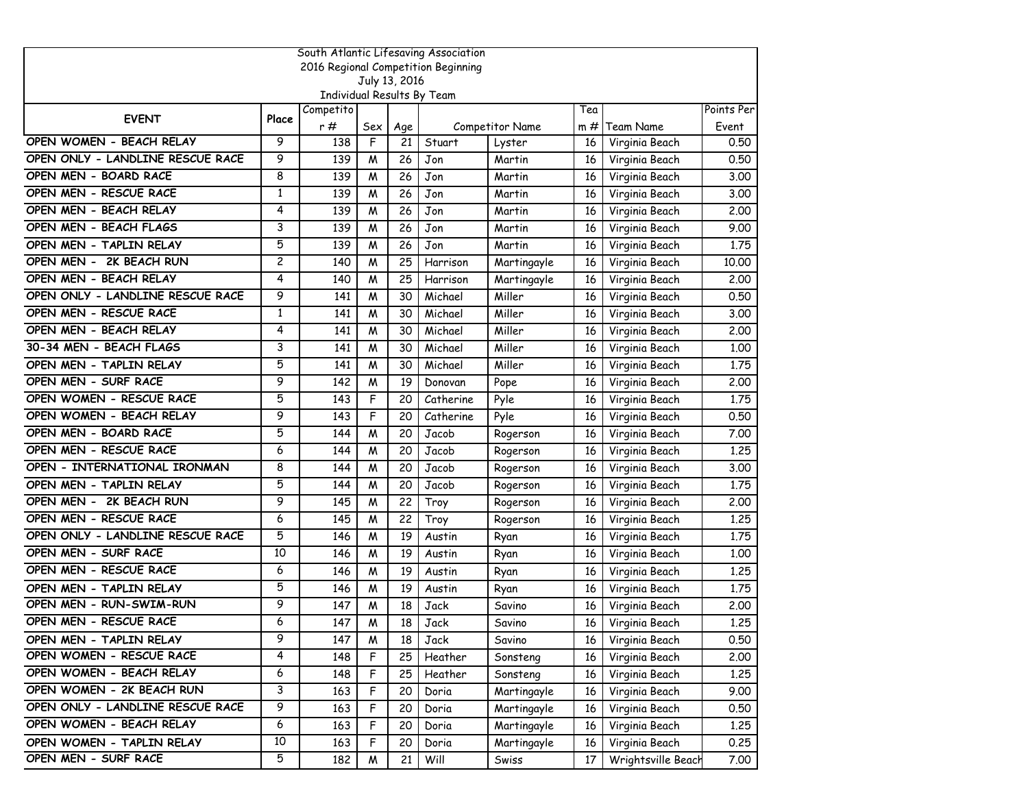|                                  |       |                                                |     |               | South Atlantic Lifesaving Association |                 |        |                    |            |
|----------------------------------|-------|------------------------------------------------|-----|---------------|---------------------------------------|-----------------|--------|--------------------|------------|
|                                  |       |                                                |     |               | 2016 Regional Competition Beginning   |                 |        |                    |            |
|                                  |       |                                                |     | July 13, 2016 |                                       |                 |        |                    |            |
|                                  |       | <b>Individual Results By Team</b><br>Competito |     |               |                                       |                 | Tea    |                    | Points Per |
| <b>EVENT</b>                     | Place | r#                                             | Sex | Age           |                                       | Competitor Name | $m \#$ | Team Name          | Event      |
| OPEN WOMEN - BEACH RELAY         | 9     | 138                                            | F   | 21            | Stuart                                | Lyster          | 16     | Virginia Beach     | 0.50       |
| OPEN ONLY - LANDLINE RESCUE RACE | 9     | 139                                            | M   | 26            | Jon                                   | Martin          | 16     | Virginia Beach     | 0.50       |
| OPEN MEN - BOARD RACE            | 8     | 139                                            | M   | 26            | Jon                                   | Martin          | 16     | Virginia Beach     | 3.00       |
| OPEN MEN - RESCUE RACE           | 1     | 139                                            | M   | 26            | Jon                                   | Martin          | 16     | Virginia Beach     | 3.00       |
| OPEN MEN - BEACH RELAY           | 4     | 139                                            | M   | 26            | Jon                                   | Martin          | 16     | Virginia Beach     | 2,00       |
| OPEN MEN - BEACH FLAGS           | 3     | 139                                            | W   | 26            | Jon                                   | Martin          | 16     | Virginia Beach     | 9.00       |
| OPEN MEN - TAPLIN RELAY          | 5     | 139                                            | M   | 26            | Jon                                   | Martin          | 16     | Virginia Beach     | 1.75       |
| OPEN MEN - 2K BEACH RUN          | 2     | 140                                            | M   | 25            | Harrison                              | Martingayle     | 16     | Virginia Beach     | 10.00      |
| OPEN MEN - BEACH RELAY           | 4     | 140                                            | M   | 25            | Harrison                              | Martingayle     | 16     | Virginia Beach     | 2,00       |
| OPEN ONLY - LANDLINE RESCUE RACE | 9     | 141                                            | M   | 30            | Michael                               | Miller          | 16     | Virginia Beach     | 0.50       |
| OPEN MEN - RESCUE RACE           | 1     | 141                                            | M   | 30            | Michael                               | Miller          | 16     | Virginia Beach     | 3.00       |
| OPEN MEN - BEACH RELAY           | 4     | 141                                            | M   | 30            | Michael                               | Miller          | 16     | Virginia Beach     | 2,00       |
| 30-34 MEN - BEACH FLAGS          | 3     | 141                                            | M   | 30            | Michael                               | Miller          | 16     | Virginia Beach     | 1,00       |
| OPEN MEN - TAPLIN RELAY          | 5     | 141                                            | M   | 30            | Michael                               | Miller          | 16     | Virginia Beach     | 1.75       |
| OPEN MEN - SURF RACE             | 9     | 142                                            | M   | 19            | Donovan                               | Pope            | 16     | Virginia Beach     | 2.00       |
| OPEN WOMEN - RESCUE RACE         | 5     | 143                                            | F   | 20            | Catherine                             | Pyle            | 16     | Virginia Beach     | 1.75       |
| OPEN WOMEN - BEACH RELAY         | 9     | 143                                            | F   | 20            | Catherine                             | Pyle            | 16     | Virginia Beach     | 0.50       |
| OPEN MEN - BOARD RACE            | 5     | 144                                            | M   | 20            | Jacob                                 | Rogerson        | 16     | Virginia Beach     | 7.00       |
| OPEN MEN - RESCUE RACE           | 6     | 144                                            | M   | 20            | Jacob                                 | Rogerson        | 16     | Virginia Beach     | 1,25       |
| OPEN - INTERNATIONAL IRONMAN     | 8     | 144                                            | M   | 20            | Jacob                                 | Rogerson        | 16     | Virginia Beach     | 3.00       |
| OPEN MEN - TAPLIN RELAY          | 5     | 144                                            | W   | 20            | Jacob                                 | Rogerson        | 16     | Virginia Beach     | 1,75       |
| OPEN MEN - 2K BEACH RUN          | 9     | 145                                            | M   | 22            | Troy                                  | Rogerson        | 16     | Virginia Beach     | 2,00       |
| OPEN MEN - RESCUE RACE           | 6     | 145                                            | M   | 22            | Troy                                  | Rogerson        | 16     | Virginia Beach     | 1,25       |
| OPEN ONLY - LANDLINE RESCUE RACE | 5     | 146                                            | M   | 19            | Austin                                | Ryan            | 16     | Virginia Beach     | 1.75       |
| OPEN MEN - SURF RACE             | 10    | 146                                            | W   | 19            | Austin                                | Ryan            | 16     | Virginia Beach     | 1.00       |
| OPEN MEN - RESCUE RACE           | 6     | 146                                            | W   | 19            | Austin                                | Ryan            | 16     | Virginia Beach     | 1,25       |
| OPEN MEN - TAPLIN RELAY          | 5     | 146                                            | W   | 19            | Austin                                | Ryan            | 16     | Virginia Beach     | 1.75       |
| OPEN MEN - RUN-SWIM-RUN          | 9     | 147                                            | M   | 18            | Jack                                  | Savino          | 16     | Virginia Beach     | 2.00       |
| OPEN MEN - RESCUE RACE           | 6     | 147                                            | M   | 18            | Jack                                  | Savino          | 16     | Virginia Beach     | 1.25       |
| OPEN MEN - TAPLIN RELAY          | 9     | 147                                            | М   | 18            | Jack                                  | Savino          | 16     | Virginia Beach     | 0.50       |
| OPEN WOMEN - RESCUE RACE         | 4     | 148                                            | F   | 25            | Heather                               | Sonsteng        | 16     | Virginia Beach     | 2.00       |
| OPEN WOMEN - BEACH RELAY         | 6     | 148                                            | F   | 25            | Heather                               | Sonsteng        | 16     | Virginia Beach     | 1.25       |
| OPEN WOMEN - 2K BEACH RUN        | 3     | 163                                            | F   | 20            | Doria                                 | Martingayle     | 16     | Virginia Beach     | 9.00       |
| OPEN ONLY - LANDLINE RESCUE RACE | 9     | 163                                            | F   | 20            | Doria                                 | Martingayle     | 16     | Virginia Beach     | 0.50       |
| OPEN WOMEN - BEACH RELAY         | 6     | 163                                            | F   | 20            | Doria                                 | Martingayle     | 16     | Virginia Beach     | 1.25       |
| OPEN WOMEN - TAPLIN RELAY        | 10    | 163                                            | F   | 20            | Doria                                 | Martingayle     | 16     | Virginia Beach     | 0.25       |
| OPEN MEN - SURF RACE             | 5     | 182                                            | M   | 21            | Will                                  | Swiss           | 17     | Wrightsville Beach | 7.00       |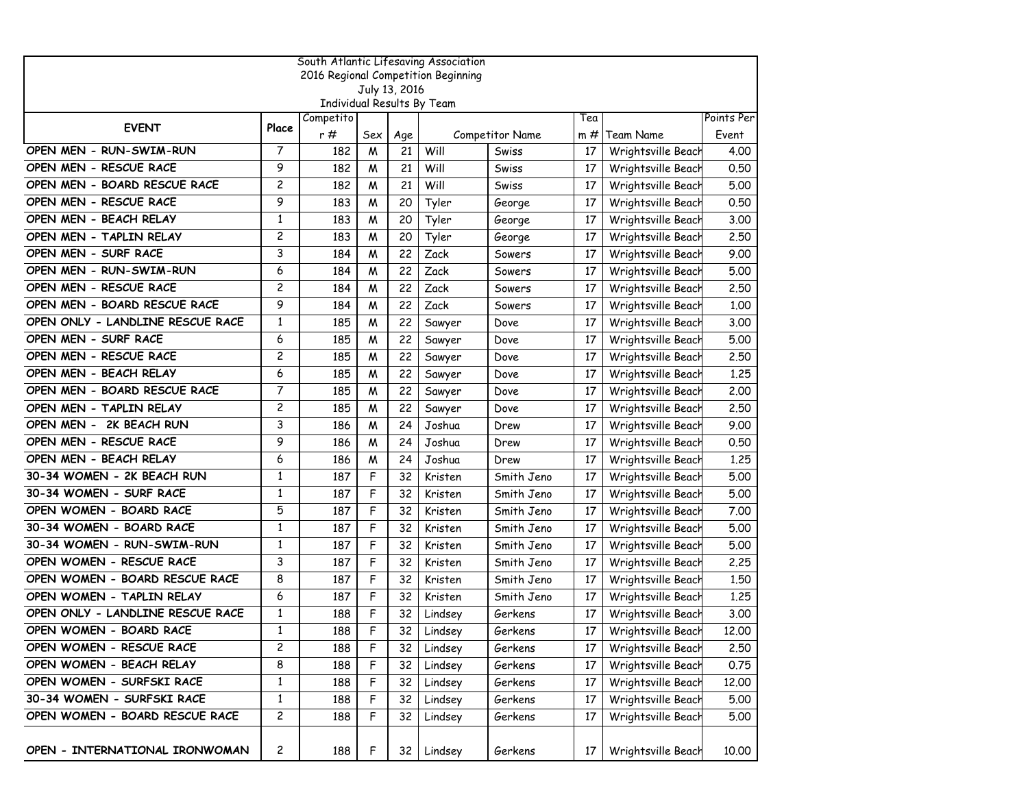|                                     |                |           |     |               | South Atlantic Lifesaving Association |                 |     |                    |            |
|-------------------------------------|----------------|-----------|-----|---------------|---------------------------------------|-----------------|-----|--------------------|------------|
| 2016 Regional Competition Beginning |                |           |     |               |                                       |                 |     |                    |            |
|                                     |                |           |     | July 13, 2016 |                                       |                 |     |                    |            |
|                                     |                | Competito |     |               | Individual Results By Team            |                 | Tea |                    | Points Per |
| <b>EVENT</b>                        | Place          | r #       | Sex | Age           |                                       | Competitor Name | m # | <b>Team Name</b>   | Event      |
| OPEN MEN - RUN-SWIM-RUN             | 7              | 182       | M   | 21            | Will                                  | Swiss           | 17  | Wrightsville Beach | 4.00       |
| OPEN MEN - RESCUE RACE              | 9              | 182       | M   | 21            | Will                                  | Swiss           | 17  | Wrightsville Beach | 0.50       |
| OPEN MEN - BOARD RESCUE RACE        | $\overline{c}$ | 182       | W   | 21            | Will                                  | Swiss           | 17  | Wrightsville Beach | 5.00       |
| OPEN MEN - RESCUE RACE              | 9              | 183       | M   | 20            | Tyler                                 | George          | 17  | Wrightsville Beach | 0.50       |
| OPEN MEN - BEACH RELAY              | $\mathbf{1}$   | 183       | M   | 20            | Tyler                                 | George          | 17  | Wrightsville Beach | 3.00       |
| OPEN MEN - TAPLIN RELAY             | $\overline{c}$ | 183       | M   | 20            | Tyler                                 | George          | 17  | Wrightsville Beach | 2.50       |
| OPEN MEN - SURF RACE                | 3              | 184       | M   | 22            | Zack                                  | Sowers          | 17  | Wrightsville Beach | 9.00       |
| OPEN MEN - RUN-SWIM-RUN             | 6              | 184       | W   | 22            | Zack                                  | Sowers          | 17  | Wrightsville Beach | 5.00       |
| OPEN MEN - RESCUE RACE              | $\overline{c}$ | 184       | M   | 22            | Zack                                  | Sowers          | 17  | Wrightsville Beach | 2.50       |
| OPEN MEN - BOARD RESCUE RACE        | 9              | 184       | M   | 22            | Zack                                  | Sowers          | 17  | Wrightsville Beach | 1.00       |
| OPEN ONLY - LANDLINE RESCUE RACE    | $\mathbf{1}$   | 185       | M   | 22            | Sawyer                                | Dove            | 17  | Wrightsville Beach | 3.00       |
| OPEN MEN - SURF RACE                | 6              | 185       | M   | 22            | Sawyer                                | Dove            | 17  | Wrightsville Beach | 5.00       |
| OPEN MEN - RESCUE RACE              | 2              | 185       | M   | 22            | Sawyer                                | Dove            | 17  | Wrightsville Beach | 2.50       |
| OPEN MEN - BEACH RELAY              | 6              | 185       | M   | 22            | Sawyer                                | Dove            | 17  | Wrightsville Beach | 1.25       |
| OPEN MEN - BOARD RESCUE RACE        | $\overline{7}$ | 185       | M   | 22            | Sawyer                                | Dove            | 17  | Wrightsville Beach | 2.00       |
| OPEN MEN - TAPLIN RELAY             | $\overline{c}$ | 185       | M   | 22            | Sawyer                                | Dove            | 17  | Wrightsville Beach | 2.50       |
| OPEN MEN - 2K BEACH RUN             | 3              | 186       | M   | 24            | Joshua                                | Drew            | 17  | Wrightsville Beach | 9.00       |
| OPEN MEN - RESCUE RACE              | 9              | 186       | M   | 24            | Joshua                                | Drew            | 17  | Wrightsville Beach | 0.50       |
| OPEN MEN - BEACH RELAY              | 6              | 186       | M   | 24            | Joshua                                | Drew            | 17  | Wrightsville Beach | 1.25       |
| 30-34 WOMEN - 2K BEACH RUN          | $\mathbf{1}$   | 187       | F   | 32            | Kristen                               | Smith Jeno      | 17  | Wrightsville Beach | 5.00       |
| 30-34 WOMEN - SURF RACE             | $\mathbf{1}$   | 187       | F   | 32            | Kristen                               | Smith Jeno      | 17  | Wrightsville Beach | 5.00       |
| OPEN WOMEN - BOARD RACE             | 5              | 187       | F   | 32            | Kristen                               | Smith Jeno      | 17  | Wrightsville Beach | 7.00       |
| 30-34 WOMEN - BOARD RACE            | 1              | 187       | F   | 32            | Kristen                               | Smith Jeno      | 17  | Wrightsville Beach | 5.00       |
| 30-34 WOMEN - RUN-SWIM-RUN          | 1              | 187       | F   | 32            | Kristen                               | Smith Jeno      | 17  | Wrightsville Beach | 5.00       |
| OPEN WOMEN - RESCUE RACE            | 3              | 187       | F   | 32            | Kristen                               | Smith Jeno      | 17  | Wrightsville Beach | 2.25       |
| OPEN WOMEN - BOARD RESCUE RACE      | 8              | 187       | F   | 32            | Kristen                               | Smith Jeno      | 17  | Wrightsville Beach | 1.50       |
| OPEN WOMEN - TAPLIN RELAY           | 6              | 187       | F   | 32            | Kristen                               | Smith Jeno      | 17  | Wrightsville Beach | 1.25       |
| OPEN ONLY - LANDLINE RESCUE RACE    | 1              | 188       | F   | 32            | Lindsey                               | Gerkens         | 17  | Wrightsville Beach | 3.00       |
| OPEN WOMEN - BOARD RACE             | 1              | 188       | F   | 32            | Lindsey                               | Gerkens         | 17  | Wrightsville Beach | 12.00      |
| OPEN WOMEN - RESCUE RACE            | 2              | 188       | F   | 32            | Lindsey                               | Gerkens         | 17  | Wrightsville Beach | 2.50       |
| OPEN WOMEN - BEACH RELAY            | 8              | 188       | F   | 32            | Lindsey                               | Gerkens         | 17  | Wrightsville Beach | 0.75       |
| OPEN WOMEN - SURFSKI RACE           | 1              | 188       | F   | 32            | Lindsey                               | Gerkens         | 17  | Wrightsville Beach | 12.00      |
| 30-34 WOMEN - SURFSKI RACE          | $\mathbf{1}$   | 188       | F   | 32            | Lindsey                               | Gerkens         | 17  | Wrightsville Beach | 5.00       |
| OPEN WOMEN - BOARD RESCUE RACE      | 2              | 188       | F   | 32            | Lindsey                               | Gerkens         | 17  | Wrightsville Beach | 5.00       |
| OPEN - INTERNATIONAL IRONWOMAN      | 2              | 188       | F   | 32            | Lindsey                               | Gerkens         | 17  | Wrightsville Beach | 10.00      |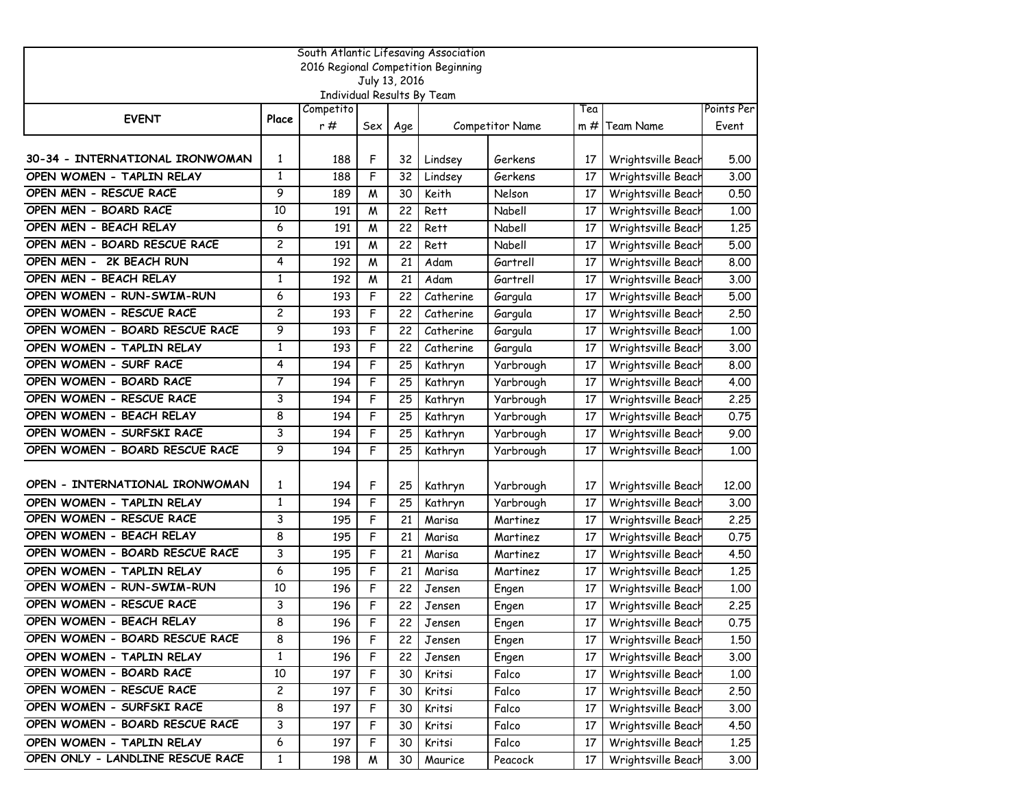|                                  |                   |                                         |     |               | South Atlantic Lifesaving Association |                 |     |                    |            |
|----------------------------------|-------------------|-----------------------------------------|-----|---------------|---------------------------------------|-----------------|-----|--------------------|------------|
|                                  |                   |                                         |     |               | 2016 Regional Competition Beginning   |                 |     |                    |            |
|                                  |                   |                                         |     | July 13, 2016 |                                       |                 |     |                    |            |
|                                  |                   | Individual Results By Team<br>Competito |     |               |                                       |                 | Tea |                    | Points Per |
| <b>EVENT</b>                     | Place             | r #                                     |     |               |                                       |                 |     |                    | Event      |
|                                  |                   |                                         | Sex | Age           |                                       | Competitor Name | m # | Team Name          |            |
| 30-34 - INTERNATIONAL IRONWOMAN  |                   |                                         |     |               |                                       |                 |     |                    |            |
|                                  | 1<br>$\mathbf{1}$ | 188                                     | F   | 32            | Lindsey                               | Gerkens         | 17  | Wrightsville Beach | 5.00       |
| OPEN WOMEN - TAPLIN RELAY        | 9                 | 188                                     | F   | 32            | Lindsey                               | Gerkens         | 17  | Wrightsville Beach | 3.00       |
| OPEN MEN - RESCUE RACE           |                   | 189                                     | M   | 30            | Keith                                 | Nelson          | 17  | Wrightsville Beach | 0.50       |
| OPEN MEN - BOARD RACE            | 10                | 191                                     | W   | 22            | Rett                                  | Nabell          | 17  | Wrightsville Beach | 1.00       |
| OPEN MEN - BEACH RELAY           | 6                 | 191                                     | W   | 22            | Rett                                  | Nabell          | 17  | Wrightsville Beach | 1.25       |
| OPEN MEN - BOARD RESCUE RACE     | 2                 | 191                                     | M   | 22            | Rett                                  | Nabell          | 17  | Wrightsville Beach | 5.00       |
| OPEN MEN - 2K BEACH RUN          | 4                 | 192                                     | W   | 21            | Adam                                  | Gartrell        | 17  | Wrightsville Beach | 8.00       |
| OPEN MEN - BEACH RELAY           | $\mathbf{1}$      | 192                                     | M   | 21            | Adam                                  | Gartrell        | 17  | Wrightsville Beach | 3.00       |
| OPEN WOMEN - RUN-SWIM-RUN        | 6                 | 193                                     | F   | 22            | Catherine                             | Gargula         | 17  | Wrightsville Beach | 5.00       |
| OPEN WOMEN - RESCUE RACE         | $\overline{c}$    | 193                                     | F   | 22            | Catherine                             | Gargula         | 17  | Wrightsville Beach | 2.50       |
| OPEN WOMEN - BOARD RESCUE RACE   | 9                 | 193                                     | F   | 22            | Catherine                             | Gargula         | 17  | Wrightsville Beach | 1.00       |
| OPEN WOMEN - TAPLIN RELAY        | $\mathbf{1}$      | 193                                     | F   | 22            | Catherine                             | Gargula         | 17  | Wrightsville Beach | 3.00       |
| OPEN WOMEN - SURF RACE           | 4                 | 194                                     | F   | 25            | Kathryn                               | Yarbrough       | 17  | Wrightsville Beach | 8.00       |
| OPEN WOMEN - BOARD RACE          | 7                 | 194                                     | F   | 25            | Kathryn                               | Yarbrough       | 17  | Wrightsville Beach | 4.00       |
| OPEN WOMEN - RESCUE RACE         | 3                 | 194                                     | F   | 25            | Kathryn                               | Yarbrough       | 17  | Wrightsville Beach | 2.25       |
| OPEN WOMEN - BEACH RELAY         | 8                 | 194                                     | F   | 25            | Kathryn                               | Yarbrough       | 17  | Wrightsville Beach | 0.75       |
| OPEN WOMEN - SURFSKI RACE        | 3                 | 194                                     | F   | 25            | Kathryn                               | Yarbrough       | 17  | Wrightsville Beach | 9.00       |
| OPEN WOMEN - BOARD RESCUE RACE   | 9                 | 194                                     | F   | 25            | Kathryn                               | Yarbrough       | 17  | Wrightsville Beach | 1.00       |
|                                  |                   |                                         |     |               |                                       |                 |     |                    |            |
| OPEN - INTERNATIONAL IRONWOMAN   | 1                 | 194                                     | F   | 25            | Kathryn                               | Yarbrough       | 17  | Wrightsville Beach | 12,00      |
| OPEN WOMEN - TAPLIN RELAY        | $\mathbf{1}$      | 194                                     | F   | 25            | Kathryn                               | Yarbrough       | 17  | Wrightsville Beach | 3.00       |
| OPEN WOMEN - RESCUE RACE         | 3                 | 195                                     | F   | 21            | Marisa                                | Martinez        | 17  | Wrightsville Beach | 2.25       |
| OPEN WOMEN - BEACH RELAY         | 8                 | 195                                     | F   | 21            | Marisa                                | Martinez        | 17  | Wrightsville Beach | 0.75       |
| OPEN WOMEN - BOARD RESCUE RACE   | 3                 | 195                                     | F   | 21            | Marisa                                | Martinez        | 17  | Wrightsville Beach | 4.50       |
| OPEN WOMEN - TAPLIN RELAY        | 6                 | 195                                     | F   | 21            | Marisa                                | Martinez        | 17  | Wrightsville Beach | 1.25       |
| OPEN WOMEN - RUN-SWIM-RUN        | 10                | 196                                     | F   | 22            | Jensen                                | Engen           | 17  | Wrightsville Beach | 1.00       |
| OPEN WOMEN - RESCUE RACE         | 3                 | 196                                     | F   | 22            | Jensen                                | Engen           | 17  | Wrightsville Beach | 2.25       |
| OPEN WOMEN - BEACH RELAY         | 8                 | 196                                     | F   | 22            | Jensen                                | Engen           | 17  | Wrightsville Beach | 0.75       |
| OPEN WOMEN - BOARD RESCUE RACE   | 8                 | 196                                     | F   | 22            | Jensen                                | Engen           | 17  | Wrightsville Beach | 1.50       |
| OPEN WOMEN - TAPLIN RELAY        | $\mathbf{1}$      | 196                                     | F   | 22            | Jensen                                | Engen           | 17  | Wrightsville Beach | 3.00       |
| OPEN WOMEN - BOARD RACE          | 10                | 197                                     | F   | 30            | Kritsi                                | Falco           | 17  | Wrightsville Beach | 1.00       |
| OPEN WOMEN - RESCUE RACE         | $\overline{c}$    | 197                                     | F   | 30            | Kritsi                                | Falco           | 17  | Wrightsville Beach | 2.50       |
| OPEN WOMEN - SURFSKI RACE        | 8                 | 197                                     | F   | 30            | Kritsi                                | Falco           | 17  | Wrightsville Beach | 3.00       |
| OPEN WOMEN - BOARD RESCUE RACE   | 3                 | 197                                     | F   | 30            | Kritsi                                | Falco           | 17  | Wrightsville Beach | 4.50       |
| OPEN WOMEN - TAPLIN RELAY        | 6                 | 197                                     | F   | 30            | Kritsi                                | Falco           | 17  | Wrightsville Beach | 1.25       |
| OPEN ONLY - LANDLINE RESCUE RACE | 1                 |                                         |     |               |                                       |                 |     |                    |            |
|                                  |                   | 198                                     | M   | 30            | Maurice                               | Peacock         | 17  | Wrightsville Beach | 3.00       |